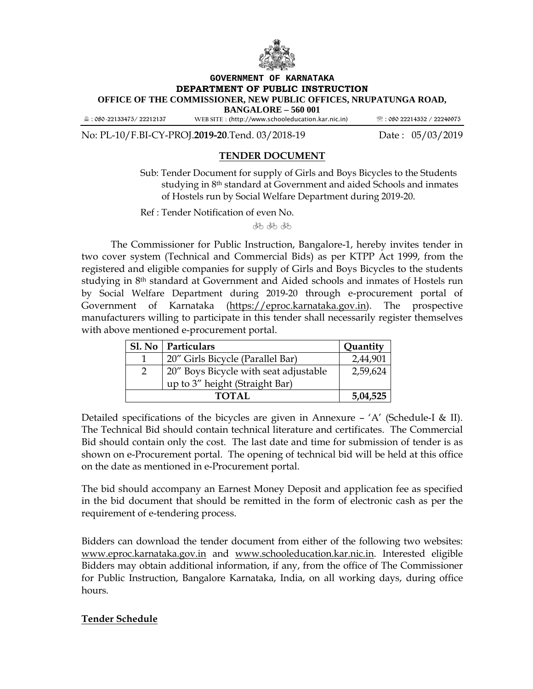

#### **GOVERNMENT OF KARNATAKA DEPARTMENT OF PUBLIC INSTRUCTION OFFICE OF THE COMMISSIONER, NEW PUBLIC OFFICES, NRUPATUNGA ROAD, BANGALORE – 560 001**

: 080-22133475/ 22212137 **WEB SITE** : (http://www.schooleducation.kar.nic.in) : 080 22214352 / 22246975

No: PL-10/F.BI-CY-PROJ.**2019-20**.Tend. 03/2018-19 Date : 05/03/2019

# **TENDER DOCUMENT**

Sub: Tender Document for supply of Girls and Boys Bicycles to the Students studying in 8<sup>th</sup> standard at Government and aided Schools and inmates of Hostels run by Social Welfare Department during 2019-20.

Ref : Tender Notification of even No.

棘 棘 棘

 The Commissioner for Public Instruction, Bangalore-1, hereby invites tender in two cover system (Technical and Commercial Bids) as per KTPP Act 1999, from the registered and eligible companies for supply of Girls and Boys Bicycles to the students studying in 8<sup>th</sup> standard at Government and Aided schools and inmates of Hostels run by Social Welfare Department during 2019-20 through e-procurement portal of Government of Karnataka (https://eproc.karnataka.gov.in). The prospective manufacturers willing to participate in this tender shall necessarily register themselves with above mentioned e-procurement portal.

| Sl. No   Particulars                  | Quantity |  |
|---------------------------------------|----------|--|
| 20" Girls Bicycle (Parallel Bar)      | 2,44,901 |  |
| 20" Boys Bicycle with seat adjustable |          |  |
| up to 3" height (Straight Bar)        |          |  |
| TOTAL                                 |          |  |

Detailed specifications of the bicycles are given in Annexure –  $'A'$  (Schedule-I & II). The Technical Bid should contain technical literature and certificates. The Commercial Bid should contain only the cost. The last date and time for submission of tender is as shown on e-Procurement portal. The opening of technical bid will be held at this office on the date as mentioned in e-Procurement portal.

The bid should accompany an Earnest Money Deposit and application fee as specified in the bid document that should be remitted in the form of electronic cash as per the requirement of e-tendering process.

Bidders can download the tender document from either of the following two websites: www.eproc.karnataka.gov.in and www.schooleducation.kar.nic.in. Interested eligible Bidders may obtain additional information, if any, from the office of The Commissioner for Public Instruction, Bangalore Karnataka, India, on all working days, during office hours.

## **Tender Schedule**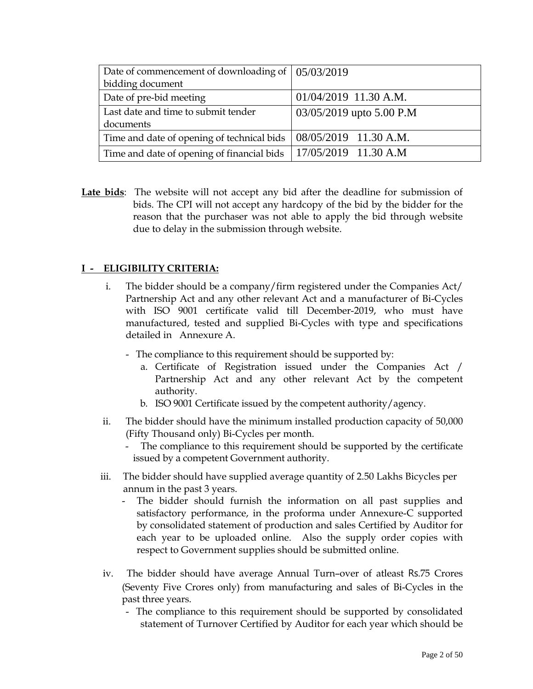| Date of commencement of downloading of $\vert 05/03/2019 \vert$ |                            |
|-----------------------------------------------------------------|----------------------------|
| bidding document                                                |                            |
| Date of pre-bid meeting                                         | $01/04/2019$ 11.30 A.M.    |
| Last date and time to submit tender                             | $03/05/2019$ upto 5.00 P.M |
| documents                                                       |                            |
| Time and date of opening of technical bids                      | 08/05/2019 11.30 A.M.      |
| Time and date of opening of financial bids                      | $17/05/2019$ 11.30 A.M     |

**Late bids**: The website will not accept any bid after the deadline for submission of bids. The CPI will not accept any hardcopy of the bid by the bidder for the reason that the purchaser was not able to apply the bid through website due to delay in the submission through website.

# **I - ELIGIBILITY CRITERIA:**

- i. The bidder should be a company/firm registered under the Companies Act/ Partnership Act and any other relevant Act and a manufacturer of Bi-Cycles with ISO 9001 certificate valid till December-2019, who must have manufactured, tested and supplied Bi-Cycles with type and specifications detailed in Annexure A.
	- The compliance to this requirement should be supported by:
		- a. Certificate of Registration issued under the Companies Act / Partnership Act and any other relevant Act by the competent authority.
		- b. ISO 9001 Certificate issued by the competent authority/agency.
- ii. The bidder should have the minimum installed production capacity of 50,000 (Fifty Thousand only) Bi-Cycles per month.
	- The compliance to this requirement should be supported by the certificate issued by a competent Government authority.
- iii. The bidder should have supplied average quantity of 2.50 Lakhs Bicycles per annum in the past 3 years.
	- The bidder should furnish the information on all past supplies and satisfactory performance, in the proforma under Annexure-C supported by consolidated statement of production and sales Certified by Auditor for each year to be uploaded online. Also the supply order copies with respect to Government supplies should be submitted online.
- iv. The bidder should have average Annual Turn–over of atleast Rs.75 Crores (Seventy Five Crores only) from manufacturing and sales of Bi-Cycles in the past three years.
	- The compliance to this requirement should be supported by consolidated statement of Turnover Certified by Auditor for each year which should be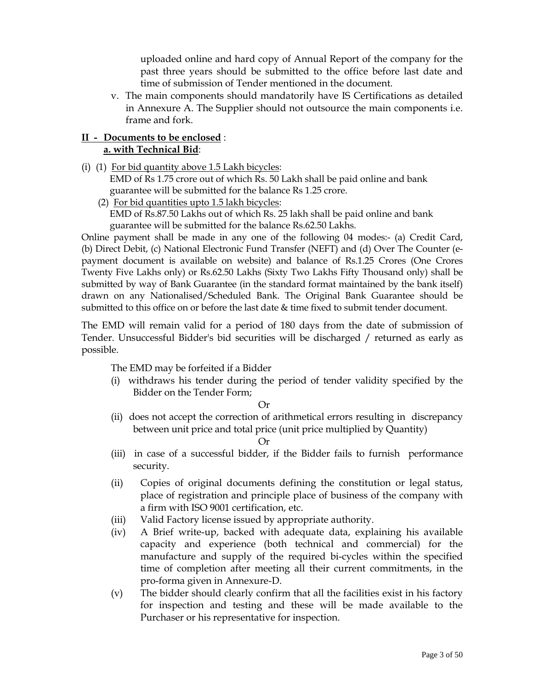uploaded online and hard copy of Annual Report of the company for the past three years should be submitted to the office before last date and time of submission of Tender mentioned in the document.

v. The main components should mandatorily have IS Certifications as detailed in Annexure A. The Supplier should not outsource the main components i.e. frame and fork.

## **II - Documents to be enclosed** : **a. with Technical Bid**:

- (i) (1) For bid quantity above 1.5 Lakh bicycles: EMD of Rs 1.75 crore out of which Rs. 50 Lakh shall be paid online and bank guarantee will be submitted for the balance Rs 1.25 crore.
	- (2) For bid quantities upto 1.5 lakh bicycles: EMD of Rs.87.50 Lakhs out of which Rs. 25 lakh shall be paid online and bank guarantee will be submitted for the balance Rs.62.50 Lakhs.

Online payment shall be made in any one of the following 04 modes:- (a) Credit Card, (b) Direct Debit, (c) National Electronic Fund Transfer (NEFT) and (d) Over The Counter (epayment document is available on website) and balance of Rs.1.25 Crores (One Crores Twenty Five Lakhs only) or Rs.62.50 Lakhs (Sixty Two Lakhs Fifty Thousand only) shall be submitted by way of Bank Guarantee (in the standard format maintained by the bank itself) drawn on any Nationalised/Scheduled Bank. The Original Bank Guarantee should be submitted to this office on or before the last date & time fixed to submit tender document.

The EMD will remain valid for a period of 180 days from the date of submission of Tender. Unsuccessful Bidder's bid securities will be discharged / returned as early as possible.

The EMD may be forfeited if a Bidder

(i) withdraws his tender during the period of tender validity specified by the Bidder on the Tender Form;

## Or

(ii) does not accept the correction of arithmetical errors resulting in discrepancy between unit price and total price (unit price multiplied by Quantity)

#### Or

- (iii) in case of a successful bidder, if the Bidder fails to furnish performance security.
- (ii) Copies of original documents defining the constitution or legal status, place of registration and principle place of business of the company with a firm with ISO 9001 certification, etc.
- (iii) Valid Factory license issued by appropriate authority.
- (iv) A Brief write-up, backed with adequate data, explaining his available capacity and experience (both technical and commercial) for the manufacture and supply of the required bi-cycles within the specified time of completion after meeting all their current commitments, in the pro-forma given in Annexure-D.
- (v) The bidder should clearly confirm that all the facilities exist in his factory for inspection and testing and these will be made available to the Purchaser or his representative for inspection.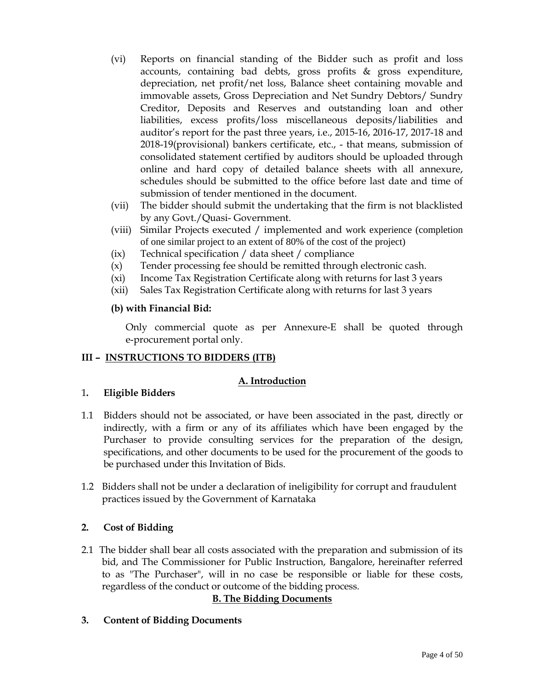- (vi) Reports on financial standing of the Bidder such as profit and loss accounts, containing bad debts, gross profits & gross expenditure, depreciation, net profit/net loss, Balance sheet containing movable and immovable assets, Gross Depreciation and Net Sundry Debtors/ Sundry Creditor, Deposits and Reserves and outstanding loan and other liabilities, excess profits/loss miscellaneous deposits/liabilities and auditor's report for the past three years, i.e., 2015-16, 2016-17, 2017-18 and 2018-19(provisional) bankers certificate, etc., - that means, submission of consolidated statement certified by auditors should be uploaded through online and hard copy of detailed balance sheets with all annexure, schedules should be submitted to the office before last date and time of submission of tender mentioned in the document.
- (vii) The bidder should submit the undertaking that the firm is not blacklisted by any Govt./Quasi- Government.
- (viii) Similar Projects executed / implemented and work experience (completion of one similar project to an extent of 80% of the cost of the project)
- (ix) Technical specification / data sheet / compliance
- (x) Tender processing fee should be remitted through electronic cash.
- (xi) Income Tax Registration Certificate along with returns for last 3 years
- (xii) Sales Tax Registration Certificate along with returns for last 3 years

## **(b) with Financial Bid:**

 Only commercial quote as per Annexure-E shall be quoted through e-procurement portal only.

## **III – INSTRUCTIONS TO BIDDERS (ITB)**

## **A. Introduction**

## 1**. Eligible Bidders**

- 1.1 Bidders should not be associated, or have been associated in the past, directly or indirectly, with a firm or any of its affiliates which have been engaged by the Purchaser to provide consulting services for the preparation of the design, specifications, and other documents to be used for the procurement of the goods to be purchased under this Invitation of Bids.
- 1.2 Bidders shall not be under a declaration of ineligibility for corrupt and fraudulent practices issued by the Government of Karnataka

## **2. Cost of Bidding**

2.1 The bidder shall bear all costs associated with the preparation and submission of its bid, and The Commissioner for Public Instruction, Bangalore, hereinafter referred to as "The Purchaser", will in no case be responsible or liable for these costs, regardless of the conduct or outcome of the bidding process.

## **B. The Bidding Documents**

**3. Content of Bidding Documents**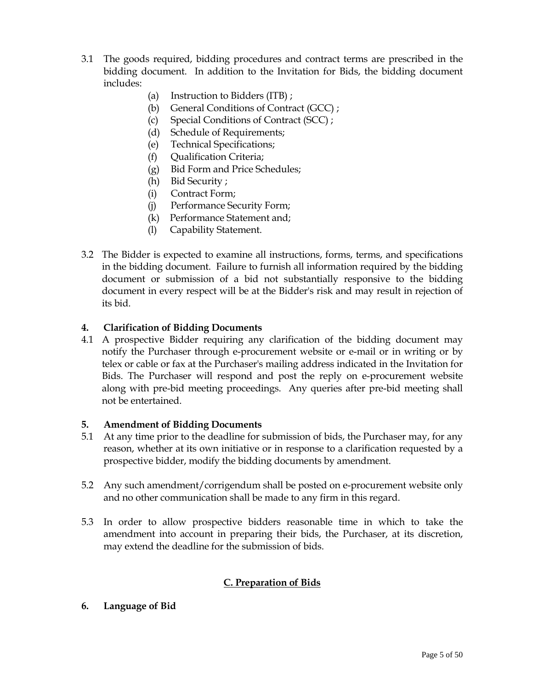- 3.1 The goods required, bidding procedures and contract terms are prescribed in the bidding document. In addition to the Invitation for Bids, the bidding document includes:
	- (a) Instruction to Bidders (ITB) ;
	- (b) General Conditions of Contract (GCC) ;
	- (c) Special Conditions of Contract (SCC) ;
	- (d) Schedule of Requirements;
	- (e) Technical Specifications;
	- (f) Qualification Criteria;
	- (g) Bid Form and Price Schedules;
	- (h) Bid Security ;
	- (i) Contract Form;
	- (j) Performance Security Form;
	- (k) Performance Statement and;
	- (l) Capability Statement.
- 3.2 The Bidder is expected to examine all instructions, forms, terms, and specifications in the bidding document. Failure to furnish all information required by the bidding document or submission of a bid not substantially responsive to the bidding document in every respect will be at the Bidder's risk and may result in rejection of its bid.

#### **4. Clarification of Bidding Documents**

4.1 A prospective Bidder requiring any clarification of the bidding document may notify the Purchaser through e-procurement website or e-mail or in writing or by telex or cable or fax at the Purchaser's mailing address indicated in the Invitation for Bids. The Purchaser will respond and post the reply on e-procurement website along with pre-bid meeting proceedings. Any queries after pre-bid meeting shall not be entertained.

#### **5. Amendment of Bidding Documents**

- 5.1 At any time prior to the deadline for submission of bids, the Purchaser may, for any reason, whether at its own initiative or in response to a clarification requested by a prospective bidder, modify the bidding documents by amendment.
- 5.2 Any such amendment/corrigendum shall be posted on e-procurement website only and no other communication shall be made to any firm in this regard.
- 5.3 In order to allow prospective bidders reasonable time in which to take the amendment into account in preparing their bids, the Purchaser, at its discretion, may extend the deadline for the submission of bids.

#### **C. Preparation of Bids**

**6. Language of Bid**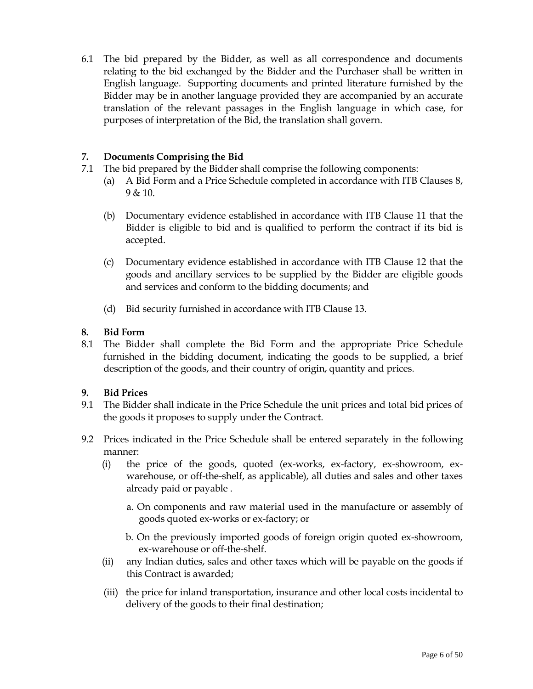6.1 The bid prepared by the Bidder, as well as all correspondence and documents relating to the bid exchanged by the Bidder and the Purchaser shall be written in English language. Supporting documents and printed literature furnished by the Bidder may be in another language provided they are accompanied by an accurate translation of the relevant passages in the English language in which case, for purposes of interpretation of the Bid, the translation shall govern.

## **7. Documents Comprising the Bid**

- 7.1 The bid prepared by the Bidder shall comprise the following components:
	- (a) A Bid Form and a Price Schedule completed in accordance with ITB Clauses 8,  $9 & 10$ .
	- (b) Documentary evidence established in accordance with ITB Clause 11 that the Bidder is eligible to bid and is qualified to perform the contract if its bid is accepted.
	- (c) Documentary evidence established in accordance with ITB Clause 12 that the goods and ancillary services to be supplied by the Bidder are eligible goods and services and conform to the bidding documents; and
	- (d) Bid security furnished in accordance with ITB Clause 13.

## **8. Bid Form**

8.1 The Bidder shall complete the Bid Form and the appropriate Price Schedule furnished in the bidding document, indicating the goods to be supplied, a brief description of the goods, and their country of origin, quantity and prices.

## **9. Bid Prices**

- 9.1 The Bidder shall indicate in the Price Schedule the unit prices and total bid prices of the goods it proposes to supply under the Contract.
- 9.2 Prices indicated in the Price Schedule shall be entered separately in the following manner:
	- (i) the price of the goods, quoted (ex-works, ex-factory, ex-showroom, exwarehouse, or off-the-shelf, as applicable), all duties and sales and other taxes already paid or payable .
		- a. On components and raw material used in the manufacture or assembly of goods quoted ex-works or ex-factory; or
		- b. On the previously imported goods of foreign origin quoted ex-showroom, ex-warehouse or off-the-shelf.
	- (ii) any Indian duties, sales and other taxes which will be payable on the goods if this Contract is awarded;
	- (iii) the price for inland transportation, insurance and other local costs incidental to delivery of the goods to their final destination;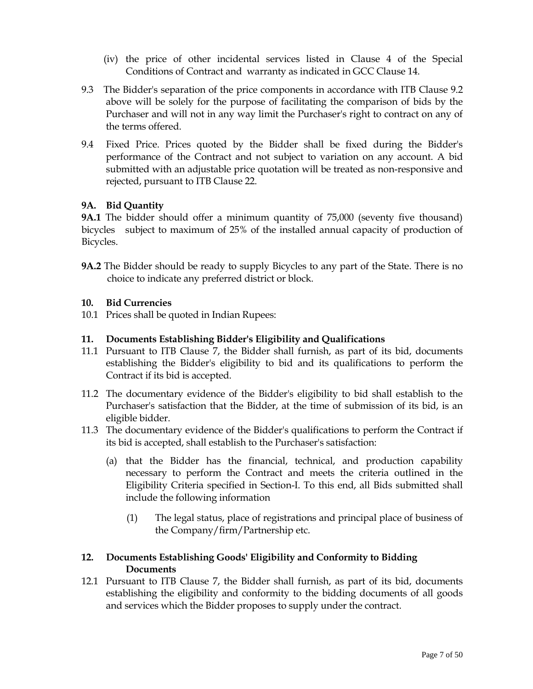- (iv) the price of other incidental services listed in Clause 4 of the Special Conditions of Contract and warranty as indicated in GCC Clause 14.
- 9.3 The Bidder's separation of the price components in accordance with ITB Clause 9.2 above will be solely for the purpose of facilitating the comparison of bids by the Purchaser and will not in any way limit the Purchaser's right to contract on any of the terms offered.
- 9.4 Fixed Price. Prices quoted by the Bidder shall be fixed during the Bidder's performance of the Contract and not subject to variation on any account. A bid submitted with an adjustable price quotation will be treated as non-responsive and rejected, pursuant to ITB Clause 22.

## **9A. Bid Quantity**

**9A.1** The bidder should offer a minimum quantity of 75,000 (seventy five thousand) bicycles subject to maximum of 25% of the installed annual capacity of production of Bicycles.

**9A.2** The Bidder should be ready to supply Bicycles to any part of the State. There is no choice to indicate any preferred district or block.

## **10. Bid Currencies**

10.1 Prices shall be quoted in Indian Rupees:

#### **11. Documents Establishing Bidder's Eligibility and Qualifications**

- 11.1 Pursuant to ITB Clause 7, the Bidder shall furnish, as part of its bid, documents establishing the Bidder's eligibility to bid and its qualifications to perform the Contract if its bid is accepted.
- 11.2 The documentary evidence of the Bidder's eligibility to bid shall establish to the Purchaser's satisfaction that the Bidder, at the time of submission of its bid, is an eligible bidder.
- 11.3 The documentary evidence of the Bidder's qualifications to perform the Contract if its bid is accepted, shall establish to the Purchaser's satisfaction:
	- (a) that the Bidder has the financial, technical, and production capability necessary to perform the Contract and meets the criteria outlined in the Eligibility Criteria specified in Section-I. To this end, all Bids submitted shall include the following information
		- (1) The legal status, place of registrations and principal place of business of the Company/firm/Partnership etc.

## **12. Documents Establishing Goods' Eligibility and Conformity to Bidding Documents**

12.1 Pursuant to ITB Clause 7, the Bidder shall furnish, as part of its bid, documents establishing the eligibility and conformity to the bidding documents of all goods and services which the Bidder proposes to supply under the contract.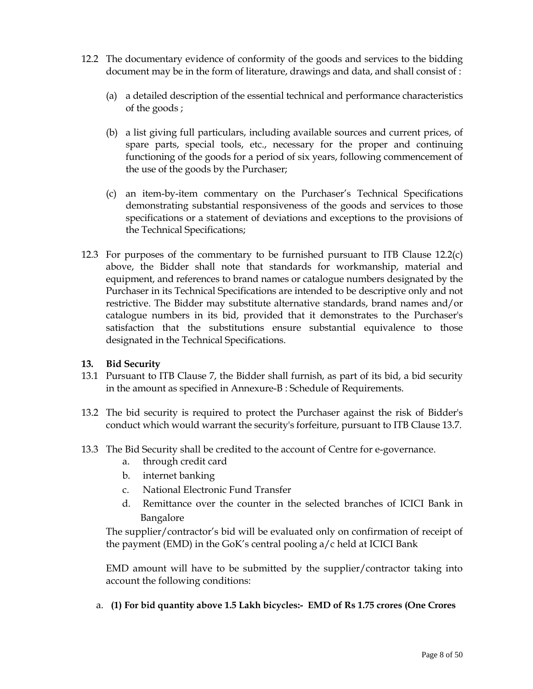- 12.2 The documentary evidence of conformity of the goods and services to the bidding document may be in the form of literature, drawings and data, and shall consist of :
	- (a) a detailed description of the essential technical and performance characteristics of the goods ;
	- (b) a list giving full particulars, including available sources and current prices, of spare parts, special tools, etc., necessary for the proper and continuing functioning of the goods for a period of six years, following commencement of the use of the goods by the Purchaser;
	- (c) an item-by-item commentary on the Purchaser's Technical Specifications demonstrating substantial responsiveness of the goods and services to those specifications or a statement of deviations and exceptions to the provisions of the Technical Specifications;
- 12.3 For purposes of the commentary to be furnished pursuant to ITB Clause 12.2(c) above, the Bidder shall note that standards for workmanship, material and equipment, and references to brand names or catalogue numbers designated by the Purchaser in its Technical Specifications are intended to be descriptive only and not restrictive. The Bidder may substitute alternative standards, brand names and/or catalogue numbers in its bid, provided that it demonstrates to the Purchaser's satisfaction that the substitutions ensure substantial equivalence to those designated in the Technical Specifications.

## **13. Bid Security**

- 13.1 Pursuant to ITB Clause 7, the Bidder shall furnish, as part of its bid, a bid security in the amount as specified in Annexure-B : Schedule of Requirements.
- 13.2 The bid security is required to protect the Purchaser against the risk of Bidder's conduct which would warrant the security's forfeiture, pursuant to ITB Clause 13.7.
- 13.3 The Bid Security shall be credited to the account of Centre for e-governance.
	- a. through credit card
	- b. internet banking
	- c. National Electronic Fund Transfer
	- d. Remittance over the counter in the selected branches of ICICI Bank in Bangalore

The supplier/contractor's bid will be evaluated only on confirmation of receipt of the payment (EMD) in the GoK's central pooling a/c held at ICICI Bank

EMD amount will have to be submitted by the supplier/contractor taking into account the following conditions:

a. **(1) For bid quantity above 1.5 Lakh bicycles:- EMD of Rs 1.75 crores (One Crores**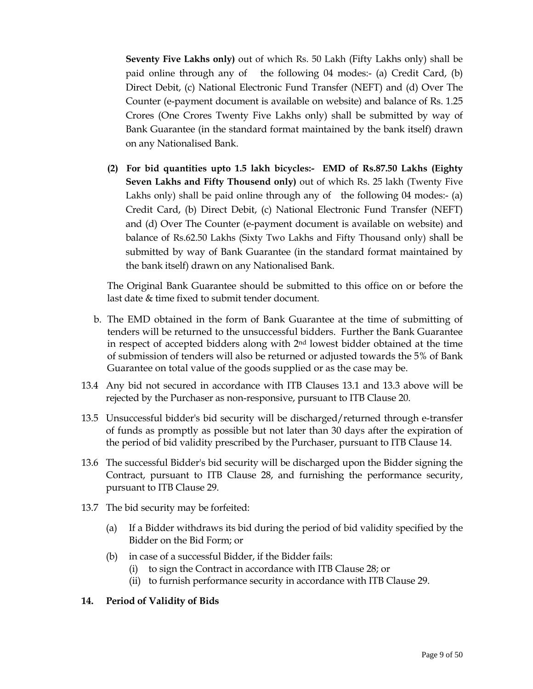**Seventy Five Lakhs only)** out of which Rs. 50 Lakh (Fifty Lakhs only) shall be paid online through any of the following 04 modes:- (a) Credit Card, (b) Direct Debit, (c) National Electronic Fund Transfer (NEFT) and (d) Over The Counter (e-payment document is available on website) and balance of Rs. 1.25 Crores (One Crores Twenty Five Lakhs only) shall be submitted by way of Bank Guarantee (in the standard format maintained by the bank itself) drawn on any Nationalised Bank.

**(2) For bid quantities upto 1.5 lakh bicycles:- EMD of Rs.87.50 Lakhs (Eighty Seven Lakhs and Fifty Thousend only)** out of which Rs. 25 lakh (Twenty Five Lakhs only) shall be paid online through any of the following 04 modes:- (a) Credit Card, (b) Direct Debit, (c) National Electronic Fund Transfer (NEFT) and (d) Over The Counter (e-payment document is available on website) and balance of Rs.62.50 Lakhs (Sixty Two Lakhs and Fifty Thousand only) shall be submitted by way of Bank Guarantee (in the standard format maintained by the bank itself) drawn on any Nationalised Bank.

The Original Bank Guarantee should be submitted to this office on or before the last date & time fixed to submit tender document.

- b. The EMD obtained in the form of Bank Guarantee at the time of submitting of tenders will be returned to the unsuccessful bidders. Further the Bank Guarantee in respect of accepted bidders along with 2nd lowest bidder obtained at the time of submission of tenders will also be returned or adjusted towards the 5% of Bank Guarantee on total value of the goods supplied or as the case may be.
- 13.4 Any bid not secured in accordance with ITB Clauses 13.1 and 13.3 above will be rejected by the Purchaser as non-responsive, pursuant to ITB Clause 20.
- 13.5 Unsuccessful bidder's bid security will be discharged/returned through e-transfer of funds as promptly as possible but not later than 30 days after the expiration of the period of bid validity prescribed by the Purchaser, pursuant to ITB Clause 14.
- 13.6 The successful Bidder's bid security will be discharged upon the Bidder signing the Contract, pursuant to ITB Clause 28, and furnishing the performance security, pursuant to ITB Clause 29.
- 13.7 The bid security may be forfeited:
	- (a) If a Bidder withdraws its bid during the period of bid validity specified by the Bidder on the Bid Form; or
	- (b) in case of a successful Bidder, if the Bidder fails:
		- (i) to sign the Contract in accordance with ITB Clause 28; or
		- (ii) to furnish performance security in accordance with ITB Clause 29.

#### **14. Period of Validity of Bids**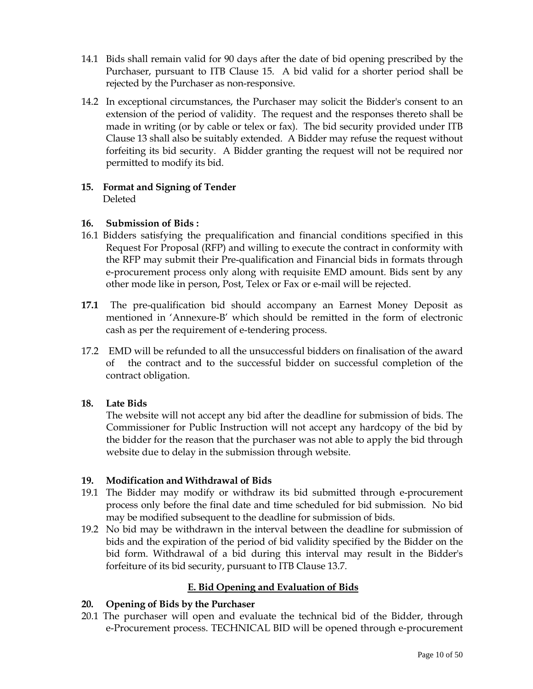- 14.1 Bids shall remain valid for 90 days after the date of bid opening prescribed by the Purchaser, pursuant to ITB Clause 15. A bid valid for a shorter period shall be rejected by the Purchaser as non-responsive.
- 14.2 In exceptional circumstances, the Purchaser may solicit the Bidder's consent to an extension of the period of validity. The request and the responses thereto shall be made in writing (or by cable or telex or fax). The bid security provided under ITB Clause 13 shall also be suitably extended. A Bidder may refuse the request without forfeiting its bid security. A Bidder granting the request will not be required nor permitted to modify its bid.

#### **15. Format and Signing of Tender**  Deleted

## **16. Submission of Bids :**

- 16.1 Bidders satisfying the prequalification and financial conditions specified in this Request For Proposal (RFP) and willing to execute the contract in conformity with the RFP may submit their Pre-qualification and Financial bids in formats through e-procurement process only along with requisite EMD amount. Bids sent by any other mode like in person, Post, Telex or Fax or e-mail will be rejected.
- **17.1** The pre-qualification bid should accompany an Earnest Money Deposit as mentioned in 'Annexure-B' which should be remitted in the form of electronic cash as per the requirement of e-tendering process.
- 17.2 EMD will be refunded to all the unsuccessful bidders on finalisation of the award of the contract and to the successful bidder on successful completion of the contract obligation.

# **18. Late Bids**

The website will not accept any bid after the deadline for submission of bids. The Commissioner for Public Instruction will not accept any hardcopy of the bid by the bidder for the reason that the purchaser was not able to apply the bid through website due to delay in the submission through website.

## **19. Modification and Withdrawal of Bids**

- 19.1 The Bidder may modify or withdraw its bid submitted through e-procurement process only before the final date and time scheduled for bid submission. No bid may be modified subsequent to the deadline for submission of bids.
- 19.2 No bid may be withdrawn in the interval between the deadline for submission of bids and the expiration of the period of bid validity specified by the Bidder on the bid form. Withdrawal of a bid during this interval may result in the Bidder's forfeiture of its bid security, pursuant to ITB Clause 13.7.

# **E. Bid Opening and Evaluation of Bids**

## **20. Opening of Bids by the Purchaser**

20.1 The purchaser will open and evaluate the technical bid of the Bidder, through e-Procurement process. TECHNICAL BID will be opened through e-procurement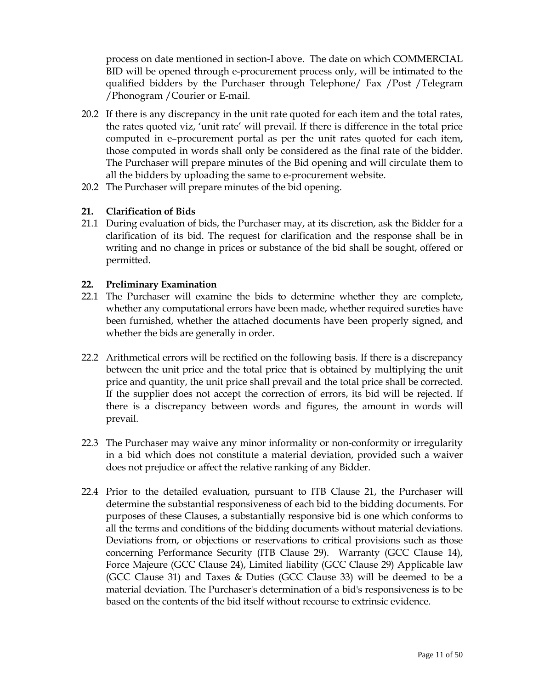process on date mentioned in section-I above. The date on which COMMERCIAL BID will be opened through e-procurement process only, will be intimated to the qualified bidders by the Purchaser through Telephone/ Fax /Post /Telegram /Phonogram /Courier or E-mail.

- 20.2 If there is any discrepancy in the unit rate quoted for each item and the total rates, the rates quoted viz, 'unit rate' will prevail. If there is difference in the total price computed in e–procurement portal as per the unit rates quoted for each item, those computed in words shall only be considered as the final rate of the bidder. The Purchaser will prepare minutes of the Bid opening and will circulate them to all the bidders by uploading the same to e-procurement website.
- 20.2 The Purchaser will prepare minutes of the bid opening.

#### **21. Clarification of Bids**

21.1 During evaluation of bids, the Purchaser may, at its discretion, ask the Bidder for a clarification of its bid. The request for clarification and the response shall be in writing and no change in prices or substance of the bid shall be sought, offered or permitted.

#### **22. Preliminary Examination**

- 22.1 The Purchaser will examine the bids to determine whether they are complete, whether any computational errors have been made, whether required sureties have been furnished, whether the attached documents have been properly signed, and whether the bids are generally in order.
- 22.2 Arithmetical errors will be rectified on the following basis. If there is a discrepancy between the unit price and the total price that is obtained by multiplying the unit price and quantity, the unit price shall prevail and the total price shall be corrected. If the supplier does not accept the correction of errors, its bid will be rejected. If there is a discrepancy between words and figures, the amount in words will prevail.
- 22.3 The Purchaser may waive any minor informality or non-conformity or irregularity in a bid which does not constitute a material deviation, provided such a waiver does not prejudice or affect the relative ranking of any Bidder.
- 22.4 Prior to the detailed evaluation, pursuant to ITB Clause 21, the Purchaser will determine the substantial responsiveness of each bid to the bidding documents. For purposes of these Clauses, a substantially responsive bid is one which conforms to all the terms and conditions of the bidding documents without material deviations. Deviations from, or objections or reservations to critical provisions such as those concerning Performance Security (ITB Clause 29). Warranty (GCC Clause 14), Force Majeure (GCC Clause 24), Limited liability (GCC Clause 29) Applicable law (GCC Clause 31) and Taxes & Duties (GCC Clause 33) will be deemed to be a material deviation. The Purchaser's determination of a bid's responsiveness is to be based on the contents of the bid itself without recourse to extrinsic evidence.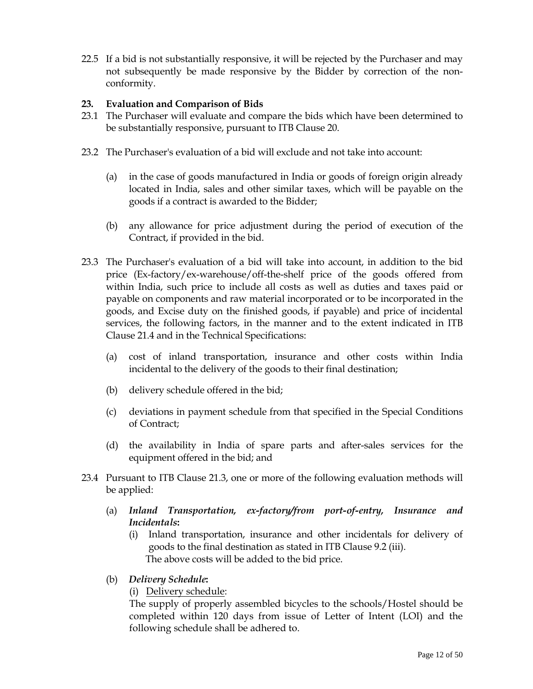22.5 If a bid is not substantially responsive, it will be rejected by the Purchaser and may not subsequently be made responsive by the Bidder by correction of the nonconformity.

## **23. Evaluation and Comparison of Bids**

- 23.1 The Purchaser will evaluate and compare the bids which have been determined to be substantially responsive, pursuant to ITB Clause 20.
- 23.2 The Purchaser's evaluation of a bid will exclude and not take into account:
	- (a) in the case of goods manufactured in India or goods of foreign origin already located in India, sales and other similar taxes, which will be payable on the goods if a contract is awarded to the Bidder;
	- (b) any allowance for price adjustment during the period of execution of the Contract, if provided in the bid.
- 23.3 The Purchaser's evaluation of a bid will take into account, in addition to the bid price (Ex-factory/ex-warehouse/off-the-shelf price of the goods offered from within India, such price to include all costs as well as duties and taxes paid or payable on components and raw material incorporated or to be incorporated in the goods, and Excise duty on the finished goods, if payable) and price of incidental services, the following factors, in the manner and to the extent indicated in ITB Clause 21.4 and in the Technical Specifications:
	- (a) cost of inland transportation, insurance and other costs within India incidental to the delivery of the goods to their final destination;
	- (b) delivery schedule offered in the bid;
	- (c) deviations in payment schedule from that specified in the Special Conditions of Contract;
	- (d) the availability in India of spare parts and after-sales services for the equipment offered in the bid; and
- 23.4 Pursuant to ITB Clause 21.3, one or more of the following evaluation methods will be applied:
	- (a) *Inland Transportation, ex-factory/from port-of-entry, Insurance and Incidentals***:**
		- (i) Inland transportation, insurance and other incidentals for delivery of goods to the final destination as stated in ITB Clause 9.2 (iii). The above costs will be added to the bid price.
	- (b) *Delivery Schedule***:** 
		- (i) Delivery schedule:

The supply of properly assembled bicycles to the schools/Hostel should be completed within 120 days from issue of Letter of Intent (LOI) and the following schedule shall be adhered to.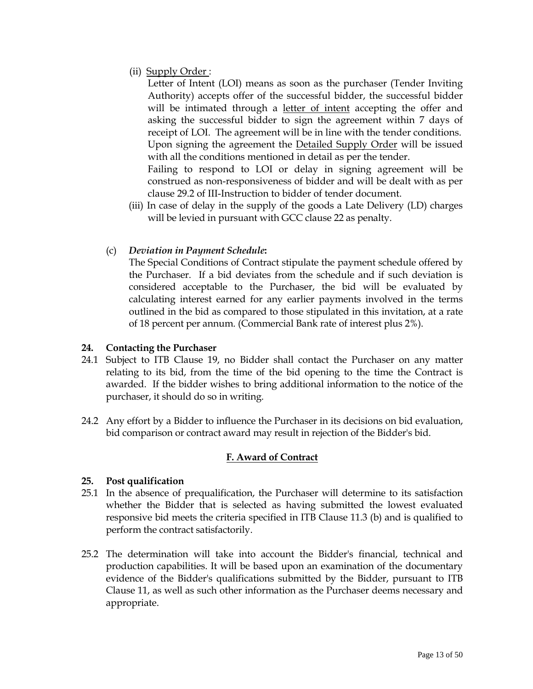(ii) Supply Order :

Letter of Intent (LOI) means as soon as the purchaser (Tender Inviting Authority) accepts offer of the successful bidder, the successful bidder will be intimated through a letter of intent accepting the offer and asking the successful bidder to sign the agreement within 7 days of receipt of LOI. The agreement will be in line with the tender conditions. Upon signing the agreement the Detailed Supply Order will be issued with all the conditions mentioned in detail as per the tender. Failing to respond to LOI or delay in signing agreement will be construed as non-responsiveness of bidder and will be dealt with as per clause 29.2 of III-Instruction to bidder of tender document.

(iii) In case of delay in the supply of the goods a Late Delivery (LD) charges will be levied in pursuant with GCC clause 22 as penalty.

## (c) *Deviation in Payment Schedule***:**

 The Special Conditions of Contract stipulate the payment schedule offered by the Purchaser. If a bid deviates from the schedule and if such deviation is considered acceptable to the Purchaser, the bid will be evaluated by calculating interest earned for any earlier payments involved in the terms outlined in the bid as compared to those stipulated in this invitation, at a rate of 18 percent per annum. (Commercial Bank rate of interest plus 2%).

## **24. Contacting the Purchaser**

- 24.1 Subject to ITB Clause 19, no Bidder shall contact the Purchaser on any matter relating to its bid, from the time of the bid opening to the time the Contract is awarded. If the bidder wishes to bring additional information to the notice of the purchaser, it should do so in writing.
- 24.2 Any effort by a Bidder to influence the Purchaser in its decisions on bid evaluation, bid comparison or contract award may result in rejection of the Bidder's bid.

# **F. Award of Contract**

## **25. Post qualification**

- 25.1 In the absence of prequalification, the Purchaser will determine to its satisfaction whether the Bidder that is selected as having submitted the lowest evaluated responsive bid meets the criteria specified in ITB Clause 11.3 (b) and is qualified to perform the contract satisfactorily.
- 25.2 The determination will take into account the Bidder's financial, technical and production capabilities. It will be based upon an examination of the documentary evidence of the Bidder's qualifications submitted by the Bidder, pursuant to ITB Clause 11, as well as such other information as the Purchaser deems necessary and appropriate.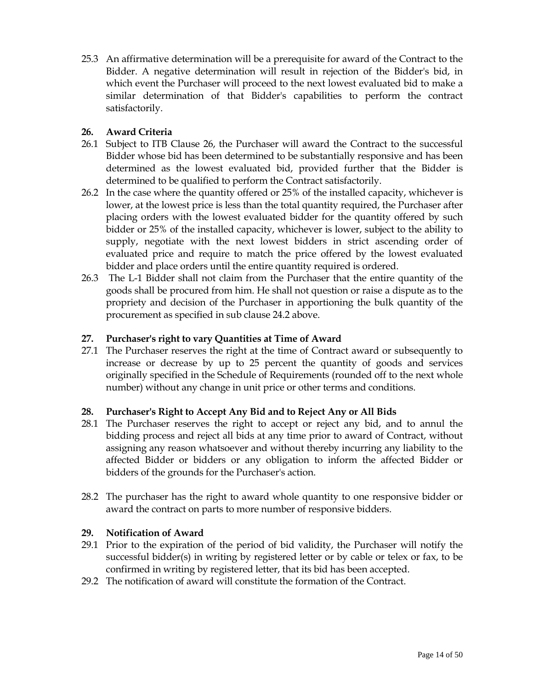25.3 An affirmative determination will be a prerequisite for award of the Contract to the Bidder. A negative determination will result in rejection of the Bidder's bid, in which event the Purchaser will proceed to the next lowest evaluated bid to make a similar determination of that Bidder's capabilities to perform the contract satisfactorily.

## **26. Award Criteria**

- 26.1 Subject to ITB Clause 26, the Purchaser will award the Contract to the successful Bidder whose bid has been determined to be substantially responsive and has been determined as the lowest evaluated bid, provided further that the Bidder is determined to be qualified to perform the Contract satisfactorily.
- 26.2 In the case where the quantity offered or 25% of the installed capacity, whichever is lower, at the lowest price is less than the total quantity required, the Purchaser after placing orders with the lowest evaluated bidder for the quantity offered by such bidder or 25% of the installed capacity, whichever is lower, subject to the ability to supply, negotiate with the next lowest bidders in strict ascending order of evaluated price and require to match the price offered by the lowest evaluated bidder and place orders until the entire quantity required is ordered.
- 26.3 The L-1 Bidder shall not claim from the Purchaser that the entire quantity of the goods shall be procured from him. He shall not question or raise a dispute as to the propriety and decision of the Purchaser in apportioning the bulk quantity of the procurement as specified in sub clause 24.2 above.

## **27. Purchaser's right to vary Quantities at Time of Award**

27.1 The Purchaser reserves the right at the time of Contract award or subsequently to increase or decrease by up to 25 percent the quantity of goods and services originally specified in the Schedule of Requirements (rounded off to the next whole number) without any change in unit price or other terms and conditions.

## **28. Purchaser's Right to Accept Any Bid and to Reject Any or All Bids**

- 28.1 The Purchaser reserves the right to accept or reject any bid, and to annul the bidding process and reject all bids at any time prior to award of Contract, without assigning any reason whatsoever and without thereby incurring any liability to the affected Bidder or bidders or any obligation to inform the affected Bidder or bidders of the grounds for the Purchaser's action.
- 28.2 The purchaser has the right to award whole quantity to one responsive bidder or award the contract on parts to more number of responsive bidders.

## **29. Notification of Award**

- 29.1 Prior to the expiration of the period of bid validity, the Purchaser will notify the successful bidder(s) in writing by registered letter or by cable or telex or fax, to be confirmed in writing by registered letter, that its bid has been accepted.
- 29.2 The notification of award will constitute the formation of the Contract.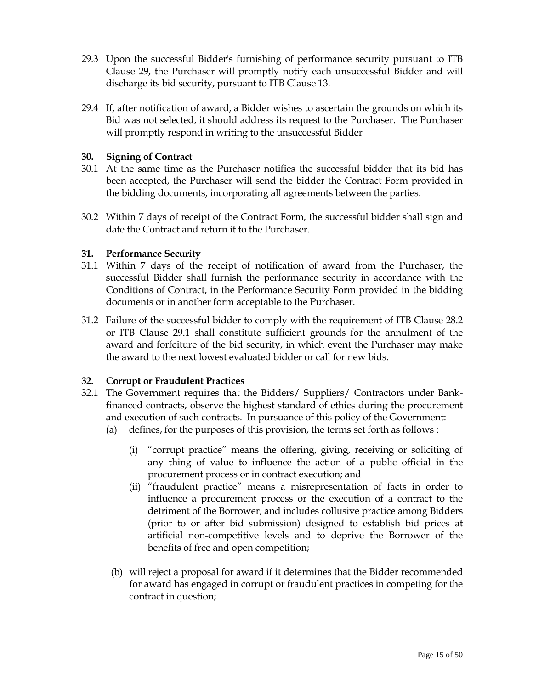- 29.3 Upon the successful Bidder's furnishing of performance security pursuant to ITB Clause 29, the Purchaser will promptly notify each unsuccessful Bidder and will discharge its bid security, pursuant to ITB Clause 13.
- 29.4 If, after notification of award, a Bidder wishes to ascertain the grounds on which its Bid was not selected, it should address its request to the Purchaser. The Purchaser will promptly respond in writing to the unsuccessful Bidder

## **30. Signing of Contract**

- 30.1 At the same time as the Purchaser notifies the successful bidder that its bid has been accepted, the Purchaser will send the bidder the Contract Form provided in the bidding documents, incorporating all agreements between the parties.
- 30.2 Within 7 days of receipt of the Contract Form, the successful bidder shall sign and date the Contract and return it to the Purchaser.

#### **31. Performance Security**

- 31.1 Within 7 days of the receipt of notification of award from the Purchaser, the successful Bidder shall furnish the performance security in accordance with the Conditions of Contract, in the Performance Security Form provided in the bidding documents or in another form acceptable to the Purchaser.
- 31.2 Failure of the successful bidder to comply with the requirement of ITB Clause 28.2 or ITB Clause 29.1 shall constitute sufficient grounds for the annulment of the award and forfeiture of the bid security, in which event the Purchaser may make the award to the next lowest evaluated bidder or call for new bids.

#### **32. Corrupt or Fraudulent Practices**

- 32.1 The Government requires that the Bidders/ Suppliers/ Contractors under Bankfinanced contracts, observe the highest standard of ethics during the procurement and execution of such contracts. In pursuance of this policy of the Government:
	- (a) defines, for the purposes of this provision, the terms set forth as follows :
		- (i) "corrupt practice" means the offering, giving, receiving or soliciting of any thing of value to influence the action of a public official in the procurement process or in contract execution; and
		- (ii) "fraudulent practice" means a misrepresentation of facts in order to influence a procurement process or the execution of a contract to the detriment of the Borrower, and includes collusive practice among Bidders (prior to or after bid submission) designed to establish bid prices at artificial non-competitive levels and to deprive the Borrower of the benefits of free and open competition;
	- (b) will reject a proposal for award if it determines that the Bidder recommended for award has engaged in corrupt or fraudulent practices in competing for the contract in question;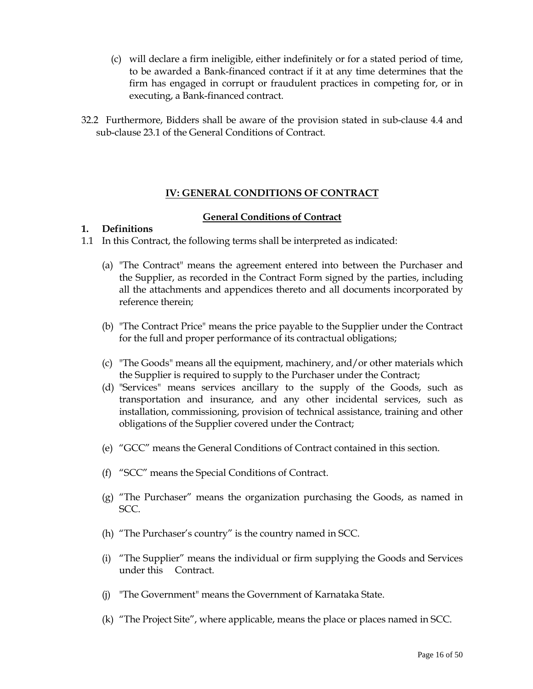- (c) will declare a firm ineligible, either indefinitely or for a stated period of time, to be awarded a Bank-financed contract if it at any time determines that the firm has engaged in corrupt or fraudulent practices in competing for, or in executing, a Bank-financed contract.
- 32.2 Furthermore, Bidders shall be aware of the provision stated in sub-clause 4.4 and sub-clause 23.1 of the General Conditions of Contract.

## **IV: GENERAL CONDITIONS OF CONTRACT**

#### **General Conditions of Contract**

#### **1. Definitions**

- 1.1 In this Contract, the following terms shall be interpreted as indicated:
	- (a) "The Contract" means the agreement entered into between the Purchaser and the Supplier, as recorded in the Contract Form signed by the parties, including all the attachments and appendices thereto and all documents incorporated by reference therein;
	- (b) "The Contract Price" means the price payable to the Supplier under the Contract for the full and proper performance of its contractual obligations;
	- (c) "The Goods" means all the equipment, machinery, and/or other materials which the Supplier is required to supply to the Purchaser under the Contract;
	- (d) "Services" means services ancillary to the supply of the Goods, such as transportation and insurance, and any other incidental services, such as installation, commissioning, provision of technical assistance, training and other obligations of the Supplier covered under the Contract;
	- (e) "GCC" means the General Conditions of Contract contained in this section.
	- (f) "SCC" means the Special Conditions of Contract.
	- (g) "The Purchaser" means the organization purchasing the Goods, as named in SCC.
	- (h) "The Purchaser's country" is the country named in SCC.
	- (i) "The Supplier" means the individual or firm supplying the Goods and Services under this Contract.
	- (j) "The Government" means the Government of Karnataka State.
	- (k) "The Project Site", where applicable, means the place or places named in SCC.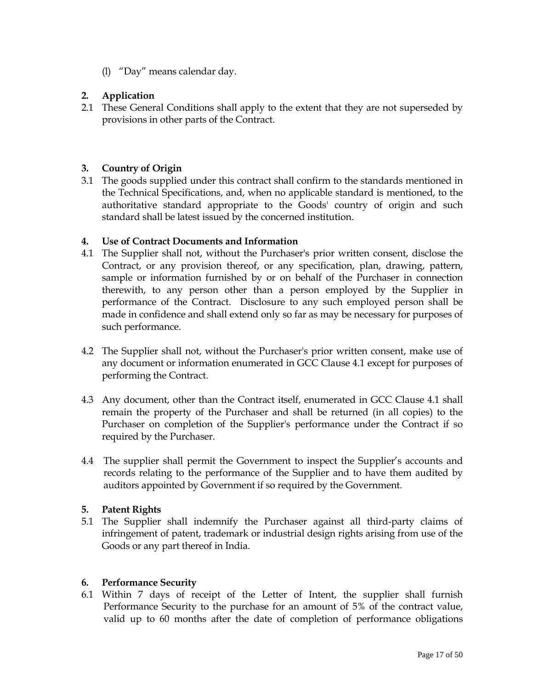(l) "Day" means calendar day.

# **2. Application**

2.1 These General Conditions shall apply to the extent that they are not superseded by provisions in other parts of the Contract.

## **3. Country of Origin**

3.1 The goods supplied under this contract shall confirm to the standards mentioned in the Technical Specifications, and, when no applicable standard is mentioned, to the authoritative standard appropriate to the Goods' country of origin and such standard shall be latest issued by the concerned institution.

#### **4. Use of Contract Documents and Information**

- 4.1 The Supplier shall not, without the Purchaser's prior written consent, disclose the Contract, or any provision thereof, or any specification, plan, drawing, pattern, sample or information furnished by or on behalf of the Purchaser in connection therewith, to any person other than a person employed by the Supplier in performance of the Contract. Disclosure to any such employed person shall be made in confidence and shall extend only so far as may be necessary for purposes of such performance.
- 4.2 The Supplier shall not, without the Purchaser's prior written consent, make use of any document or information enumerated in GCC Clause 4.1 except for purposes of performing the Contract.
- 4.3 Any document, other than the Contract itself, enumerated in GCC Clause 4.1 shall remain the property of the Purchaser and shall be returned (in all copies) to the Purchaser on completion of the Supplier's performance under the Contract if so required by the Purchaser.
- 4.4 The supplier shall permit the Government to inspect the Supplier's accounts and records relating to the performance of the Supplier and to have them audited by auditors appointed by Government if so required by the Government.

#### **5. Patent Rights**

5.1 The Supplier shall indemnify the Purchaser against all third-party claims of infringement of patent, trademark or industrial design rights arising from use of the Goods or any part thereof in India.

#### **6. Performance Security**

6.1 Within 7 days of receipt of the Letter of Intent, the supplier shall furnish Performance Security to the purchase for an amount of 5% of the contract value, valid up to 60 months after the date of completion of performance obligations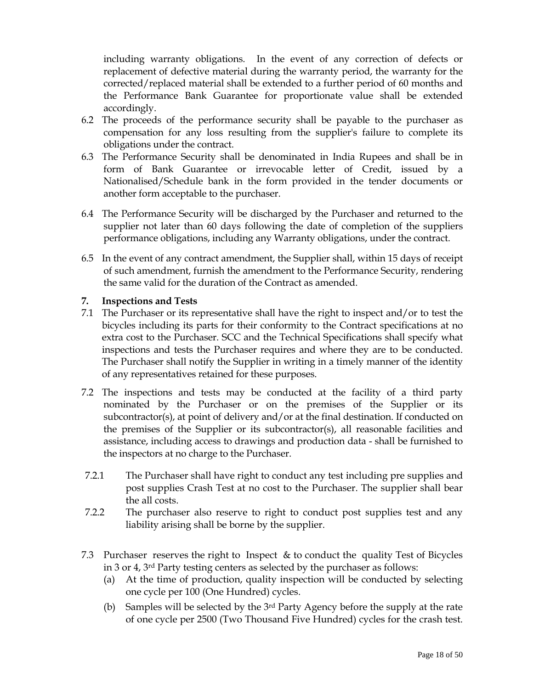including warranty obligations. In the event of any correction of defects or replacement of defective material during the warranty period, the warranty for the corrected/replaced material shall be extended to a further period of 60 months and the Performance Bank Guarantee for proportionate value shall be extended accordingly.

- 6.2 The proceeds of the performance security shall be payable to the purchaser as compensation for any loss resulting from the supplier's failure to complete its obligations under the contract.
- 6.3 The Performance Security shall be denominated in India Rupees and shall be in form of Bank Guarantee or irrevocable letter of Credit, issued by a Nationalised/Schedule bank in the form provided in the tender documents or another form acceptable to the purchaser.
- 6.4 The Performance Security will be discharged by the Purchaser and returned to the supplier not later than 60 days following the date of completion of the suppliers performance obligations, including any Warranty obligations, under the contract.
- 6.5 In the event of any contract amendment, the Supplier shall, within 15 days of receipt of such amendment, furnish the amendment to the Performance Security, rendering the same valid for the duration of the Contract as amended.

## **7. Inspections and Tests**

- 7.1 The Purchaser or its representative shall have the right to inspect and/or to test the bicycles including its parts for their conformity to the Contract specifications at no extra cost to the Purchaser. SCC and the Technical Specifications shall specify what inspections and tests the Purchaser requires and where they are to be conducted. The Purchaser shall notify the Supplier in writing in a timely manner of the identity of any representatives retained for these purposes.
- 7.2 The inspections and tests may be conducted at the facility of a third party nominated by the Purchaser or on the premises of the Supplier or its subcontractor(s), at point of delivery and/or at the final destination. If conducted on the premises of the Supplier or its subcontractor(s), all reasonable facilities and assistance, including access to drawings and production data - shall be furnished to the inspectors at no charge to the Purchaser.
- 7.2.1 The Purchaser shall have right to conduct any test including pre supplies and post supplies Crash Test at no cost to the Purchaser. The supplier shall bear the all costs.
- 7.2.2 The purchaser also reserve to right to conduct post supplies test and any liability arising shall be borne by the supplier.
- 7.3 Purchaser reserves the right to Inspect & to conduct the quality Test of Bicycles in 3 or 4, 3rd Party testing centers as selected by the purchaser as follows:
	- (a) At the time of production, quality inspection will be conducted by selecting one cycle per 100 (One Hundred) cycles.
	- (b) Samples will be selected by the  $3<sup>rd</sup>$  Party Agency before the supply at the rate of one cycle per 2500 (Two Thousand Five Hundred) cycles for the crash test.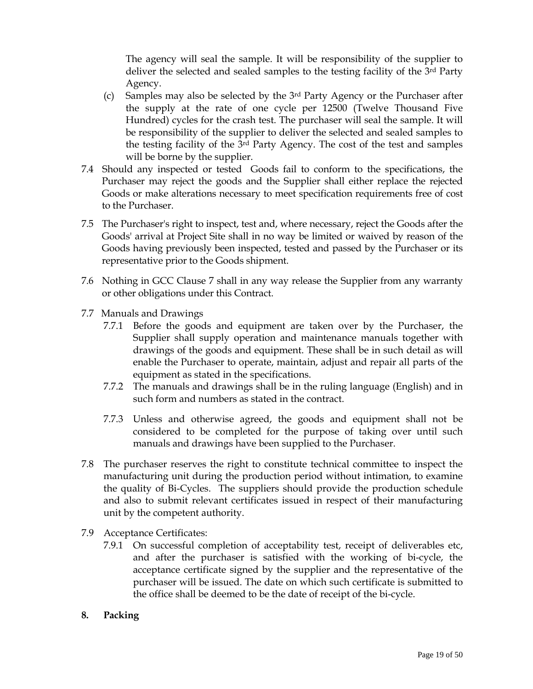The agency will seal the sample. It will be responsibility of the supplier to deliver the selected and sealed samples to the testing facility of the 3<sup>rd</sup> Party Agency.

- (c) Samples may also be selected by the 3rd Party Agency or the Purchaser after the supply at the rate of one cycle per 12500 (Twelve Thousand Five Hundred) cycles for the crash test. The purchaser will seal the sample. It will be responsibility of the supplier to deliver the selected and sealed samples to the testing facility of the 3rd Party Agency. The cost of the test and samples will be borne by the supplier.
- 7.4 Should any inspected or tested Goods fail to conform to the specifications, the Purchaser may reject the goods and the Supplier shall either replace the rejected Goods or make alterations necessary to meet specification requirements free of cost to the Purchaser.
- 7.5 The Purchaser's right to inspect, test and, where necessary, reject the Goods after the Goods' arrival at Project Site shall in no way be limited or waived by reason of the Goods having previously been inspected, tested and passed by the Purchaser or its representative prior to the Goods shipment.
- 7.6 Nothing in GCC Clause 7 shall in any way release the Supplier from any warranty or other obligations under this Contract.
- 7.7 Manuals and Drawings
	- 7.7.1 Before the goods and equipment are taken over by the Purchaser, the Supplier shall supply operation and maintenance manuals together with drawings of the goods and equipment. These shall be in such detail as will enable the Purchaser to operate, maintain, adjust and repair all parts of the equipment as stated in the specifications.
	- 7.7.2 The manuals and drawings shall be in the ruling language (English) and in such form and numbers as stated in the contract.
	- 7.7.3 Unless and otherwise agreed, the goods and equipment shall not be considered to be completed for the purpose of taking over until such manuals and drawings have been supplied to the Purchaser.
- 7.8 The purchaser reserves the right to constitute technical committee to inspect the manufacturing unit during the production period without intimation, to examine the quality of Bi-Cycles. The suppliers should provide the production schedule and also to submit relevant certificates issued in respect of their manufacturing unit by the competent authority.
- 7.9 Acceptance Certificates:
	- 7.9.1 On successful completion of acceptability test, receipt of deliverables etc, and after the purchaser is satisfied with the working of bi-cycle, the acceptance certificate signed by the supplier and the representative of the purchaser will be issued. The date on which such certificate is submitted to the office shall be deemed to be the date of receipt of the bi-cycle.
- **8. Packing**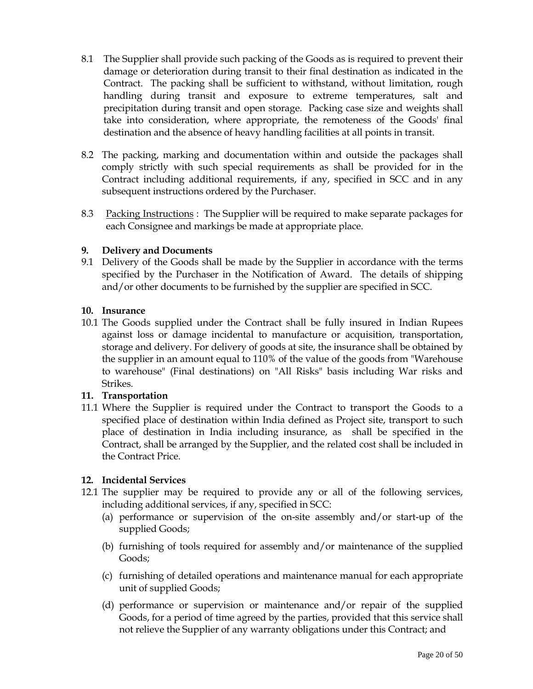- 8.1 The Supplier shall provide such packing of the Goods as is required to prevent their damage or deterioration during transit to their final destination as indicated in the Contract. The packing shall be sufficient to withstand, without limitation, rough handling during transit and exposure to extreme temperatures, salt and precipitation during transit and open storage. Packing case size and weights shall take into consideration, where appropriate, the remoteness of the Goods' final destination and the absence of heavy handling facilities at all points in transit.
- 8.2 The packing, marking and documentation within and outside the packages shall comply strictly with such special requirements as shall be provided for in the Contract including additional requirements, if any, specified in SCC and in any subsequent instructions ordered by the Purchaser.
- 8.3 Packing Instructions : The Supplier will be required to make separate packages for each Consignee and markings be made at appropriate place.

## **9. Delivery and Documents**

9.1 Delivery of the Goods shall be made by the Supplier in accordance with the terms specified by the Purchaser in the Notification of Award. The details of shipping and/or other documents to be furnished by the supplier are specified in SCC.

## **10. Insurance**

10.1 The Goods supplied under the Contract shall be fully insured in Indian Rupees against loss or damage incidental to manufacture or acquisition, transportation, storage and delivery. For delivery of goods at site, the insurance shall be obtained by the supplier in an amount equal to 110% of the value of the goods from "Warehouse to warehouse" (Final destinations) on "All Risks" basis including War risks and Strikes.

# **11. Transportation**

11.1 Where the Supplier is required under the Contract to transport the Goods to a specified place of destination within India defined as Project site, transport to such place of destination in India including insurance, as shall be specified in the Contract, shall be arranged by the Supplier, and the related cost shall be included in the Contract Price.

## **12. Incidental Services**

- 12.1 The supplier may be required to provide any or all of the following services, including additional services, if any, specified in SCC:
	- (a) performance or supervision of the on-site assembly and/or start-up of the supplied Goods;
	- (b) furnishing of tools required for assembly and/or maintenance of the supplied Goods;
	- (c) furnishing of detailed operations and maintenance manual for each appropriate unit of supplied Goods;
	- (d) performance or supervision or maintenance and/or repair of the supplied Goods, for a period of time agreed by the parties, provided that this service shall not relieve the Supplier of any warranty obligations under this Contract; and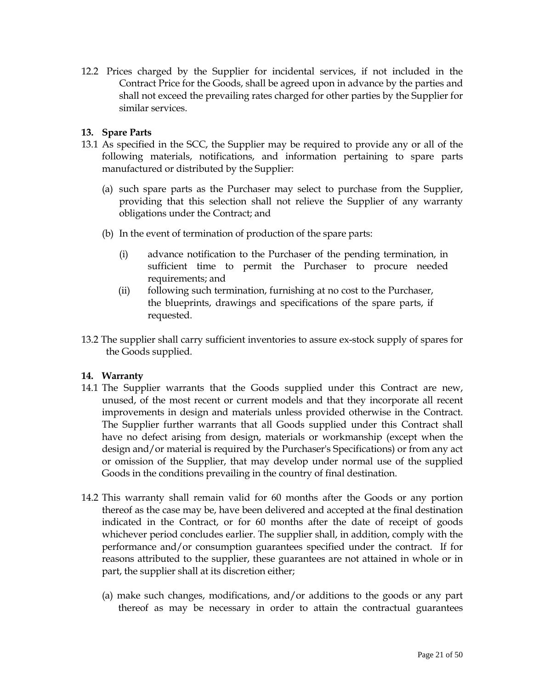12.2 Prices charged by the Supplier for incidental services, if not included in the Contract Price for the Goods, shall be agreed upon in advance by the parties and shall not exceed the prevailing rates charged for other parties by the Supplier for similar services.

#### **13. Spare Parts**

- 13.1 As specified in the SCC, the Supplier may be required to provide any or all of the following materials, notifications, and information pertaining to spare parts manufactured or distributed by the Supplier:
	- (a) such spare parts as the Purchaser may select to purchase from the Supplier, providing that this selection shall not relieve the Supplier of any warranty obligations under the Contract; and
	- (b) In the event of termination of production of the spare parts:
		- (i) advance notification to the Purchaser of the pending termination, in sufficient time to permit the Purchaser to procure needed requirements; and
		- (ii) following such termination, furnishing at no cost to the Purchaser, the blueprints, drawings and specifications of the spare parts, if requested.
- 13.2 The supplier shall carry sufficient inventories to assure ex-stock supply of spares for the Goods supplied.

#### **14. Warranty**

- 14.1 The Supplier warrants that the Goods supplied under this Contract are new, unused, of the most recent or current models and that they incorporate all recent improvements in design and materials unless provided otherwise in the Contract. The Supplier further warrants that all Goods supplied under this Contract shall have no defect arising from design, materials or workmanship (except when the design and/or material is required by the Purchaser's Specifications) or from any act or omission of the Supplier, that may develop under normal use of the supplied Goods in the conditions prevailing in the country of final destination.
- 14.2 This warranty shall remain valid for 60 months after the Goods or any portion thereof as the case may be, have been delivered and accepted at the final destination indicated in the Contract, or for 60 months after the date of receipt of goods whichever period concludes earlier. The supplier shall, in addition, comply with the performance and/or consumption guarantees specified under the contract. If for reasons attributed to the supplier, these guarantees are not attained in whole or in part, the supplier shall at its discretion either;
	- (a) make such changes, modifications, and/or additions to the goods or any part thereof as may be necessary in order to attain the contractual guarantees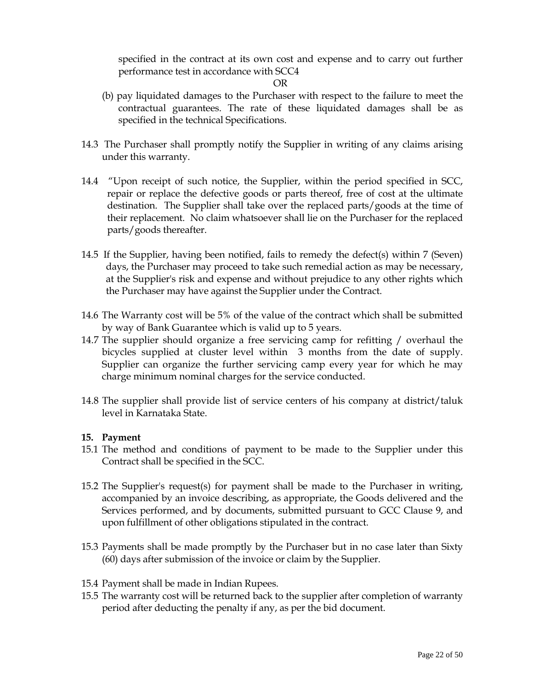specified in the contract at its own cost and expense and to carry out further performance test in accordance with SCC4

OR

- (b) pay liquidated damages to the Purchaser with respect to the failure to meet the contractual guarantees. The rate of these liquidated damages shall be as specified in the technical Specifications.
- 14.3 The Purchaser shall promptly notify the Supplier in writing of any claims arising under this warranty.
- 14.4 "Upon receipt of such notice, the Supplier, within the period specified in SCC, repair or replace the defective goods or parts thereof, free of cost at the ultimate destination. The Supplier shall take over the replaced parts/goods at the time of their replacement. No claim whatsoever shall lie on the Purchaser for the replaced parts/goods thereafter.
- 14.5 If the Supplier, having been notified, fails to remedy the defect(s) within 7 (Seven) days, the Purchaser may proceed to take such remedial action as may be necessary, at the Supplier's risk and expense and without prejudice to any other rights which the Purchaser may have against the Supplier under the Contract.
- 14.6 The Warranty cost will be 5% of the value of the contract which shall be submitted by way of Bank Guarantee which is valid up to 5 years.
- 14.7 The supplier should organize a free servicing camp for refitting / overhaul the bicycles supplied at cluster level within 3 months from the date of supply. Supplier can organize the further servicing camp every year for which he may charge minimum nominal charges for the service conducted.
- 14.8 The supplier shall provide list of service centers of his company at district/taluk level in Karnataka State.

## **15. Payment**

- 15.1 The method and conditions of payment to be made to the Supplier under this Contract shall be specified in the SCC.
- 15.2 The Supplier's request(s) for payment shall be made to the Purchaser in writing, accompanied by an invoice describing, as appropriate, the Goods delivered and the Services performed, and by documents, submitted pursuant to GCC Clause 9, and upon fulfillment of other obligations stipulated in the contract.
- 15.3 Payments shall be made promptly by the Purchaser but in no case later than Sixty (60) days after submission of the invoice or claim by the Supplier.
- 15.4 Payment shall be made in Indian Rupees.
- 15.5 The warranty cost will be returned back to the supplier after completion of warranty period after deducting the penalty if any, as per the bid document.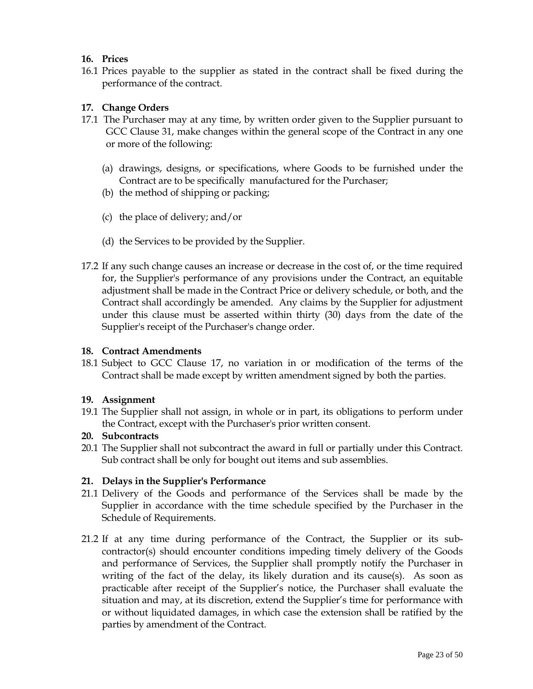## **16. Prices**

16.1 Prices payable to the supplier as stated in the contract shall be fixed during the performance of the contract.

## **17. Change Orders**

- 17.1 The Purchaser may at any time, by written order given to the Supplier pursuant to GCC Clause 31, make changes within the general scope of the Contract in any one or more of the following:
	- (a) drawings, designs, or specifications, where Goods to be furnished under the Contract are to be specifically manufactured for the Purchaser;
	- (b) the method of shipping or packing;
	- (c) the place of delivery; and/or
	- (d) the Services to be provided by the Supplier.
- 17.2 If any such change causes an increase or decrease in the cost of, or the time required for, the Supplier's performance of any provisions under the Contract, an equitable adjustment shall be made in the Contract Price or delivery schedule, or both, and the Contract shall accordingly be amended. Any claims by the Supplier for adjustment under this clause must be asserted within thirty (30) days from the date of the Supplier's receipt of the Purchaser's change order.

#### **18. Contract Amendments**

18.1 Subject to GCC Clause 17, no variation in or modification of the terms of the Contract shall be made except by written amendment signed by both the parties.

## **19. Assignment**

19.1 The Supplier shall not assign, in whole or in part, its obligations to perform under the Contract, except with the Purchaser's prior written consent.

## **20. Subcontracts**

20.1 The Supplier shall not subcontract the award in full or partially under this Contract. Sub contract shall be only for bought out items and sub assemblies.

## **21. Delays in the Supplier's Performance**

- 21.1 Delivery of the Goods and performance of the Services shall be made by the Supplier in accordance with the time schedule specified by the Purchaser in the Schedule of Requirements.
- 21.2 If at any time during performance of the Contract, the Supplier or its subcontractor(s) should encounter conditions impeding timely delivery of the Goods and performance of Services, the Supplier shall promptly notify the Purchaser in writing of the fact of the delay, its likely duration and its cause(s). As soon as practicable after receipt of the Supplier's notice, the Purchaser shall evaluate the situation and may, at its discretion, extend the Supplier's time for performance with or without liquidated damages, in which case the extension shall be ratified by the parties by amendment of the Contract.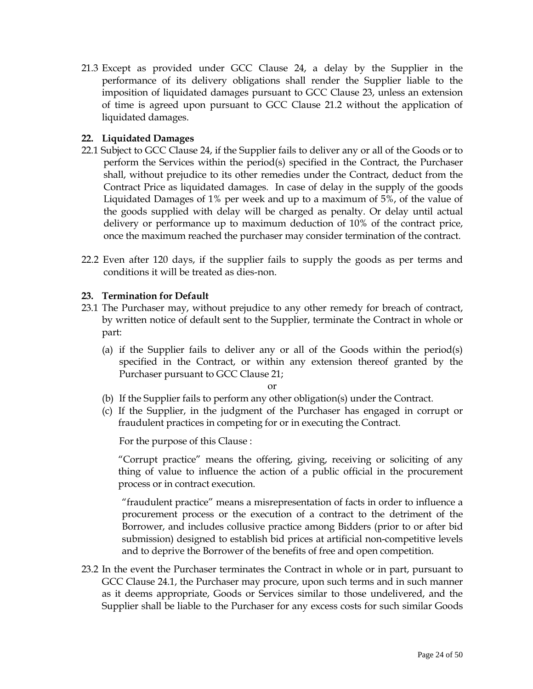21.3 Except as provided under GCC Clause 24, a delay by the Supplier in the performance of its delivery obligations shall render the Supplier liable to the imposition of liquidated damages pursuant to GCC Clause 23, unless an extension of time is agreed upon pursuant to GCC Clause 21.2 without the application of liquidated damages.

## **22. Liquidated Damages**

- 22.1 Subject to GCC Clause 24, if the Supplier fails to deliver any or all of the Goods or to perform the Services within the period(s) specified in the Contract, the Purchaser shall, without prejudice to its other remedies under the Contract, deduct from the Contract Price as liquidated damages. In case of delay in the supply of the goods Liquidated Damages of 1% per week and up to a maximum of 5%, of the value of the goods supplied with delay will be charged as penalty. Or delay until actual delivery or performance up to maximum deduction of 10% of the contract price, once the maximum reached the purchaser may consider termination of the contract.
- 22.2 Even after 120 days, if the supplier fails to supply the goods as per terms and conditions it will be treated as dies-non.

## **23. Termination for Default**

- 23.1 The Purchaser may, without prejudice to any other remedy for breach of contract, by written notice of default sent to the Supplier, terminate the Contract in whole or part:
	- (a) if the Supplier fails to deliver any or all of the Goods within the period(s) specified in the Contract, or within any extension thereof granted by the Purchaser pursuant to GCC Clause 21;

or

- (b) If the Supplier fails to perform any other obligation(s) under the Contract.
- (c) If the Supplier, in the judgment of the Purchaser has engaged in corrupt or fraudulent practices in competing for or in executing the Contract.

For the purpose of this Clause :

 "Corrupt practice" means the offering, giving, receiving or soliciting of any thing of value to influence the action of a public official in the procurement process or in contract execution.

 "fraudulent practice" means a misrepresentation of facts in order to influence a procurement process or the execution of a contract to the detriment of the Borrower, and includes collusive practice among Bidders (prior to or after bid submission) designed to establish bid prices at artificial non-competitive levels and to deprive the Borrower of the benefits of free and open competition.

23.2 In the event the Purchaser terminates the Contract in whole or in part, pursuant to GCC Clause 24.1, the Purchaser may procure, upon such terms and in such manner as it deems appropriate, Goods or Services similar to those undelivered, and the Supplier shall be liable to the Purchaser for any excess costs for such similar Goods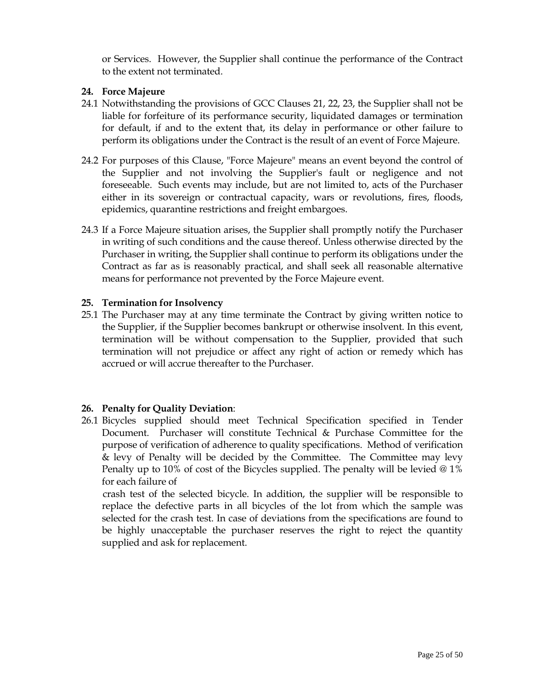or Services. However, the Supplier shall continue the performance of the Contract to the extent not terminated.

## **24. Force Majeure**

- 24.1 Notwithstanding the provisions of GCC Clauses 21, 22, 23, the Supplier shall not be liable for forfeiture of its performance security, liquidated damages or termination for default, if and to the extent that, its delay in performance or other failure to perform its obligations under the Contract is the result of an event of Force Majeure.
- 24.2 For purposes of this Clause, "Force Majeure" means an event beyond the control of the Supplier and not involving the Supplier's fault or negligence and not foreseeable. Such events may include, but are not limited to, acts of the Purchaser either in its sovereign or contractual capacity, wars or revolutions, fires, floods, epidemics, quarantine restrictions and freight embargoes.
- 24.3 If a Force Majeure situation arises, the Supplier shall promptly notify the Purchaser in writing of such conditions and the cause thereof. Unless otherwise directed by the Purchaser in writing, the Supplier shall continue to perform its obligations under the Contract as far as is reasonably practical, and shall seek all reasonable alternative means for performance not prevented by the Force Majeure event.

#### **25. Termination for Insolvency**

25.1 The Purchaser may at any time terminate the Contract by giving written notice to the Supplier, if the Supplier becomes bankrupt or otherwise insolvent. In this event, termination will be without compensation to the Supplier, provided that such termination will not prejudice or affect any right of action or remedy which has accrued or will accrue thereafter to the Purchaser.

## **26. Penalty for Quality Deviation**:

26.1 Bicycles supplied should meet Technical Specification specified in Tender Document. Purchaser will constitute Technical & Purchase Committee for the purpose of verification of adherence to quality specifications. Method of verification & levy of Penalty will be decided by the Committee. The Committee may levy Penalty up to 10% of cost of the Bicycles supplied. The penalty will be levied @ 1% for each failure of

 crash test of the selected bicycle. In addition, the supplier will be responsible to replace the defective parts in all bicycles of the lot from which the sample was selected for the crash test. In case of deviations from the specifications are found to be highly unacceptable the purchaser reserves the right to reject the quantity supplied and ask for replacement.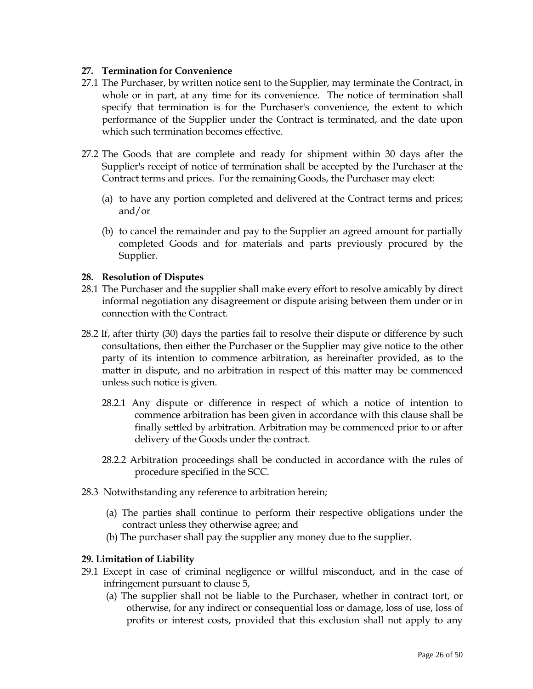## **27. Termination for Convenience**

- 27.1 The Purchaser, by written notice sent to the Supplier, may terminate the Contract, in whole or in part, at any time for its convenience. The notice of termination shall specify that termination is for the Purchaser's convenience, the extent to which performance of the Supplier under the Contract is terminated, and the date upon which such termination becomes effective.
- 27.2 The Goods that are complete and ready for shipment within 30 days after the Supplier's receipt of notice of termination shall be accepted by the Purchaser at the Contract terms and prices. For the remaining Goods, the Purchaser may elect:
	- (a) to have any portion completed and delivered at the Contract terms and prices; and/or
	- (b) to cancel the remainder and pay to the Supplier an agreed amount for partially completed Goods and for materials and parts previously procured by the Supplier.

#### **28. Resolution of Disputes**

- 28.1 The Purchaser and the supplier shall make every effort to resolve amicably by direct informal negotiation any disagreement or dispute arising between them under or in connection with the Contract.
- 28.2 If, after thirty (30) days the parties fail to resolve their dispute or difference by such consultations, then either the Purchaser or the Supplier may give notice to the other party of its intention to commence arbitration, as hereinafter provided, as to the matter in dispute, and no arbitration in respect of this matter may be commenced unless such notice is given.
	- 28.2.1 Any dispute or difference in respect of which a notice of intention to commence arbitration has been given in accordance with this clause shall be finally settled by arbitration. Arbitration may be commenced prior to or after delivery of the Goods under the contract.
	- 28.2.2 Arbitration proceedings shall be conducted in accordance with the rules of procedure specified in the SCC.
- 28.3 Notwithstanding any reference to arbitration herein;
	- (a) The parties shall continue to perform their respective obligations under the contract unless they otherwise agree; and
	- (b) The purchaser shall pay the supplier any money due to the supplier.

#### **29. Limitation of Liability**

- 29.1 Except in case of criminal negligence or willful misconduct, and in the case of infringement pursuant to clause 5,
	- (a) The supplier shall not be liable to the Purchaser, whether in contract tort, or otherwise, for any indirect or consequential loss or damage, loss of use, loss of profits or interest costs, provided that this exclusion shall not apply to any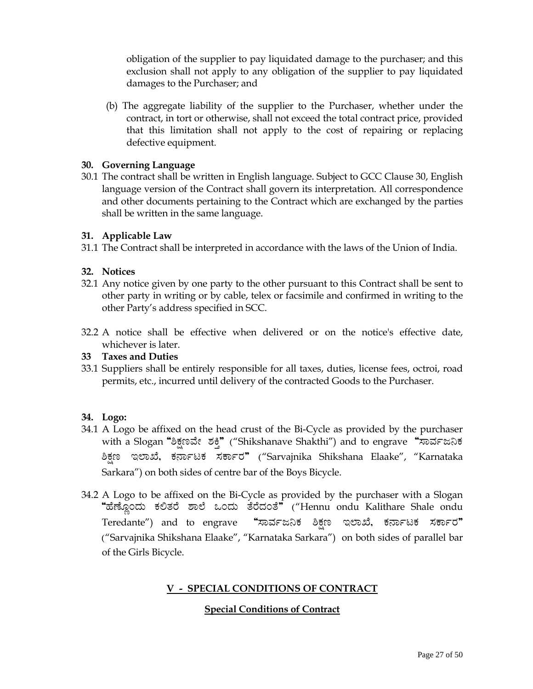obligation of the supplier to pay liquidated damage to the purchaser; and this exclusion shall not apply to any obligation of the supplier to pay liquidated damages to the Purchaser; and

 (b) The aggregate liability of the supplier to the Purchaser, whether under the contract, in tort or otherwise, shall not exceed the total contract price, provided that this limitation shall not apply to the cost of repairing or replacing defective equipment.

## **30. Governing Language**

30.1 The contract shall be written in English language. Subject to GCC Clause 30, English language version of the Contract shall govern its interpretation. All correspondence and other documents pertaining to the Contract which are exchanged by the parties shall be written in the same language.

## **31. Applicable Law**

31.1 The Contract shall be interpreted in accordance with the laws of the Union of India.

## **32. Notices**

- 32.1 Any notice given by one party to the other pursuant to this Contract shall be sent to other party in writing or by cable, telex or facsimile and confirmed in writing to the other Party's address specified in SCC.
- 32.2 A notice shall be effective when delivered or on the notice's effective date, whichever is later.

## **33 Taxes and Duties**

33.1 Suppliers shall be entirely responsible for all taxes, duties, license fees, octroi, road permits, etc., incurred until delivery of the contracted Goods to the Purchaser.

## **34. Logo:**

- 34.1 A Logo be affixed on the head crust of the Bi-Cycle as provided by the purchaser with a Slogan "ಶಿಕ್ಷಣವೇ ಶಕ್ತಿ" ("Shikshanave Shakthi") and to engrave "ಸಾರ್ವಜನಿಕ ಶಿಕ್ಷಣ ಇಲಾಖೆ, ಕರ್ನಾಟಕ ಸರ್ಕಾರ" ("Sarvajnika Shikshana Elaake", "Karnataka Sarkara") on both sides of centre bar of the Boys Bicycle.
- 34.2 A Logo to be affixed on the Bi-Cycle as provided by the purchaser with a Slogan "ಹೆಣ್ಣೊಂದು ಕಲಿತರೆ ಶಾಲೆ ಒಂದು ತೆರೆದಂತೆ" ("Hennu ondu Kalithare Shale ondu Teredante") and to engrave "ಸಾರ್ವಜನಿಕ ಶಿಕ್ಷಣ ಇಲಾಖೆ, ಕರ್ನಾಟಕ ಸರ್ಕಾರ" ("Sarvajnika Shikshana Elaake", "Karnataka Sarkara") on both sides of parallel bar of the Girls Bicycle.

# **V - SPECIAL CONDITIONS OF CONTRACT**

## **Special Conditions of Contract**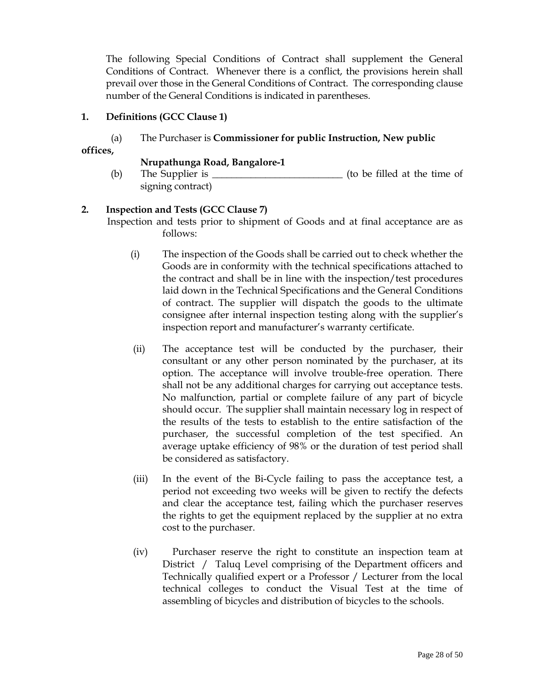The following Special Conditions of Contract shall supplement the General Conditions of Contract. Whenever there is a conflict, the provisions herein shall prevail over those in the General Conditions of Contract. The corresponding clause number of the General Conditions is indicated in parentheses.

## **1. Definitions (GCC Clause 1)**

# (a) The Purchaser is **Commissioner for public Instruction, New public**

**offices,** 

## **Nrupathunga Road, Bangalore-1**

(b) The Supplier is  $\frac{1}{\sqrt{2\pi}}$  (to be filled at the time of signing contract)

## **2. Inspection and Tests (GCC Clause 7)**

 Inspection and tests prior to shipment of Goods and at final acceptance are as follows:

- (i) The inspection of the Goods shall be carried out to check whether the Goods are in conformity with the technical specifications attached to the contract and shall be in line with the inspection/test procedures laid down in the Technical Specifications and the General Conditions of contract. The supplier will dispatch the goods to the ultimate consignee after internal inspection testing along with the supplier's inspection report and manufacturer's warranty certificate.
- (ii) The acceptance test will be conducted by the purchaser, their consultant or any other person nominated by the purchaser, at its option. The acceptance will involve trouble-free operation. There shall not be any additional charges for carrying out acceptance tests. No malfunction, partial or complete failure of any part of bicycle should occur. The supplier shall maintain necessary log in respect of the results of the tests to establish to the entire satisfaction of the purchaser, the successful completion of the test specified. An average uptake efficiency of 98% or the duration of test period shall be considered as satisfactory.
- (iii) In the event of the Bi-Cycle failing to pass the acceptance test, a period not exceeding two weeks will be given to rectify the defects and clear the acceptance test, failing which the purchaser reserves the rights to get the equipment replaced by the supplier at no extra cost to the purchaser.
- (iv) Purchaser reserve the right to constitute an inspection team at District / Taluq Level comprising of the Department officers and Technically qualified expert or a Professor / Lecturer from the local technical colleges to conduct the Visual Test at the time of assembling of bicycles and distribution of bicycles to the schools.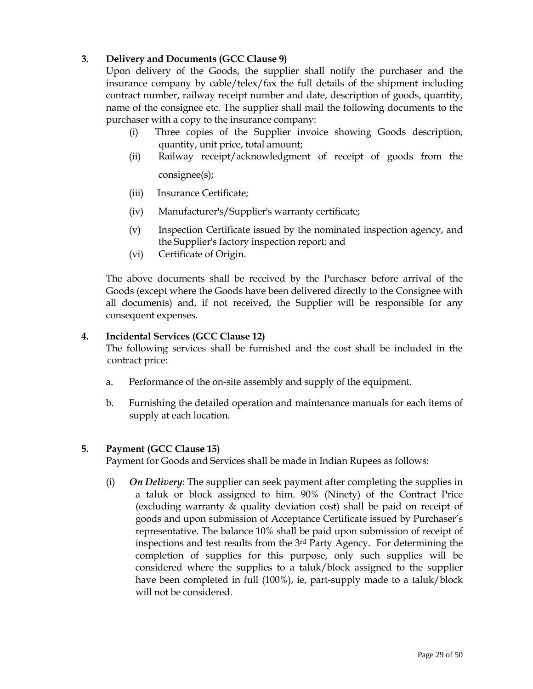# **3. Delivery and Documents (GCC Clause 9)**

 Upon delivery of the Goods, the supplier shall notify the purchaser and the insurance company by cable/telex/fax the full details of the shipment including contract number, railway receipt number and date, description of goods, quantity, name of the consignee etc. The supplier shall mail the following documents to the purchaser with a copy to the insurance company:

- (i) Three copies of the Supplier invoice showing Goods description, quantity, unit price, total amount;
- (ii) Railway receipt/acknowledgment of receipt of goods from the consignee(s);

- (iii) Insurance Certificate;
- (iv) Manufacturer's/Supplier's warranty certificate;
- (v) Inspection Certificate issued by the nominated inspection agency, and the Supplier's factory inspection report; and
- (vi) Certificate of Origin.

 The above documents shall be received by the Purchaser before arrival of the Goods (except where the Goods have been delivered directly to the Consignee with all documents) and, if not received, the Supplier will be responsible for any consequent expenses.

## **4. Incidental Services (GCC Clause 12)**

 The following services shall be furnished and the cost shall be included in the contract price:

- a. Performance of the on-site assembly and supply of the equipment.
- b. Furnishing the detailed operation and maintenance manuals for each items of supply at each location.

## **5. Payment (GCC Clause 15)**

Payment for Goods and Services shall be made in Indian Rupees as follows:

(i) *On Delivery*: The supplier can seek payment after completing the supplies in a taluk or block assigned to him. 90% (Ninety) of the Contract Price (excluding warranty & quality deviation cost) shall be paid on receipt of goods and upon submission of Acceptance Certificate issued by Purchaser's representative. The balance 10% shall be paid upon submission of receipt of inspections and test results from the 3rd Party Agency. For determining the completion of supplies for this purpose, only such supplies will be considered where the supplies to a taluk/block assigned to the supplier have been completed in full (100%), ie, part-supply made to a taluk/block will not be considered.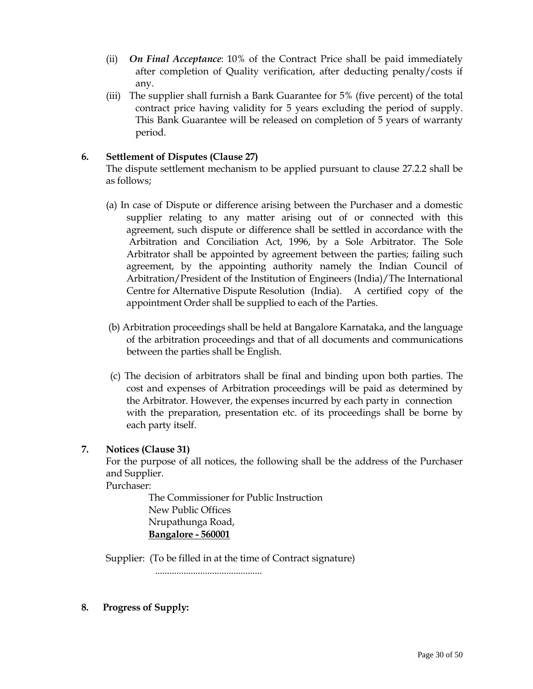- (ii) *On Final Acceptance*: 10% of the Contract Price shall be paid immediately after completion of Quality verification, after deducting penalty/costs if any.
- (iii) The supplier shall furnish a Bank Guarantee for 5% (five percent) of the total contract price having validity for 5 years excluding the period of supply. This Bank Guarantee will be released on completion of 5 years of warranty period.

## **6. Settlement of Disputes (Clause 27)**

 The dispute settlement mechanism to be applied pursuant to clause 27.2.2 shall be as follows;

- (a) In case of Dispute or difference arising between the Purchaser and a domestic supplier relating to any matter arising out of or connected with this agreement, such dispute or difference shall be settled in accordance with the Arbitration and Conciliation Act, 1996, by a Sole Arbitrator. The Sole Arbitrator shall be appointed by agreement between the parties; failing such agreement, by the appointing authority namely the Indian Council of Arbitration/President of the Institution of Engineers (India)/The International Centre for Alternative Dispute Resolution (India). A certified copy of the appointment Order shall be supplied to each of the Parties.
- (b) Arbitration proceedings shall be held at Bangalore Karnataka, and the language of the arbitration proceedings and that of all documents and communications between the parties shall be English.
- (c) The decision of arbitrators shall be final and binding upon both parties. The cost and expenses of Arbitration proceedings will be paid as determined by the Arbitrator. However, the expenses incurred by each party in connection with the preparation, presentation etc. of its proceedings shall be borne by each party itself.

# **7. Notices (Clause 31)**

 For the purpose of all notices, the following shall be the address of the Purchaser and Supplier.

Purchaser:

 The Commissioner for Public Instruction New Public Offices Nrupathunga Road, **Bangalore - 560001**

Supplier: (To be filled in at the time of Contract signature)

.............................................

**8. Progress of Supply:**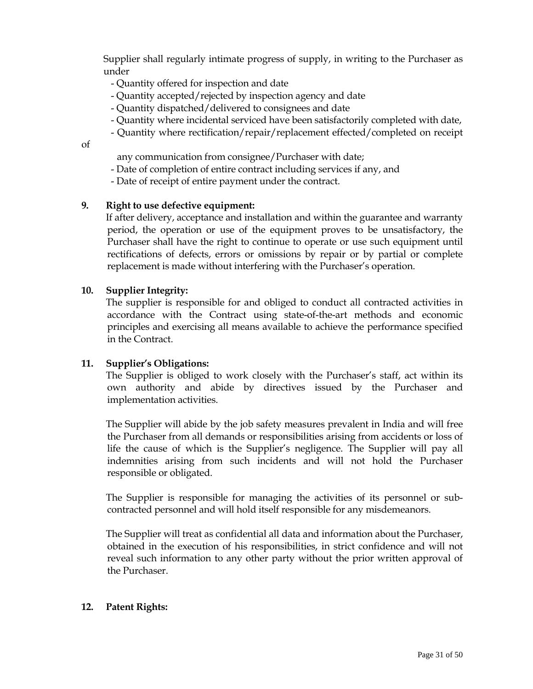Supplier shall regularly intimate progress of supply, in writing to the Purchaser as under

- Quantity offered for inspection and date
- Quantity accepted/rejected by inspection agency and date
- Quantity dispatched/delivered to consignees and date
- Quantity where incidental serviced have been satisfactorily completed with date,
- Quantity where rectification/repair/replacement effected/completed on receipt

of

- any communication from consignee/Purchaser with date;
- Date of completion of entire contract including services if any, and
- Date of receipt of entire payment under the contract.

#### **9. Right to use defective equipment:**

 If after delivery, acceptance and installation and within the guarantee and warranty period, the operation or use of the equipment proves to be unsatisfactory, the Purchaser shall have the right to continue to operate or use such equipment until rectifications of defects, errors or omissions by repair or by partial or complete replacement is made without interfering with the Purchaser's operation.

#### **10. Supplier Integrity:**

 The supplier is responsible for and obliged to conduct all contracted activities in accordance with the Contract using state-of-the-art methods and economic principles and exercising all means available to achieve the performance specified in the Contract.

#### **11. Supplier's Obligations:**

 The Supplier is obliged to work closely with the Purchaser's staff, act within its own authority and abide by directives issued by the Purchaser and implementation activities.

 The Supplier will abide by the job safety measures prevalent in India and will free the Purchaser from all demands or responsibilities arising from accidents or loss of life the cause of which is the Supplier's negligence. The Supplier will pay all indemnities arising from such incidents and will not hold the Purchaser responsible or obligated.

 The Supplier is responsible for managing the activities of its personnel or subcontracted personnel and will hold itself responsible for any misdemeanors.

 The Supplier will treat as confidential all data and information about the Purchaser, obtained in the execution of his responsibilities, in strict confidence and will not reveal such information to any other party without the prior written approval of the Purchaser.

#### **12. Patent Rights:**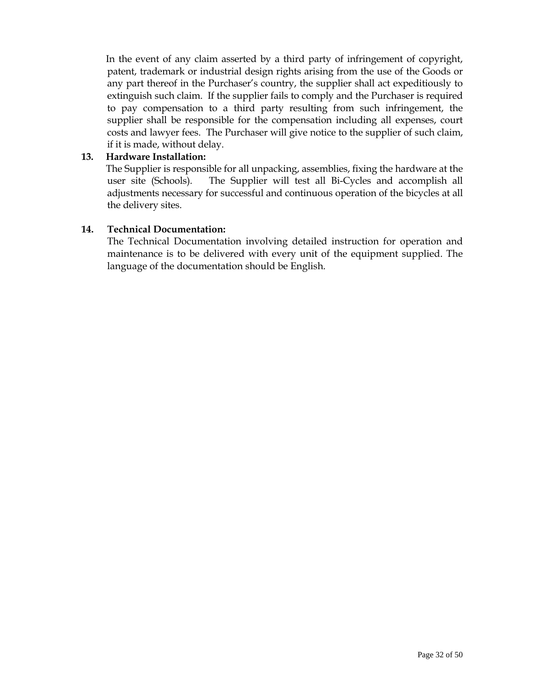In the event of any claim asserted by a third party of infringement of copyright, patent, trademark or industrial design rights arising from the use of the Goods or any part thereof in the Purchaser's country, the supplier shall act expeditiously to extinguish such claim. If the supplier fails to comply and the Purchaser is required to pay compensation to a third party resulting from such infringement, the supplier shall be responsible for the compensation including all expenses, court costs and lawyer fees. The Purchaser will give notice to the supplier of such claim, if it is made, without delay.

## **13. Hardware Installation:**

 The Supplier is responsible for all unpacking, assemblies, fixing the hardware at the user site (Schools). The Supplier will test all Bi-Cycles and accomplish all adjustments necessary for successful and continuous operation of the bicycles at all the delivery sites.

## **14. Technical Documentation:**

 The Technical Documentation involving detailed instruction for operation and maintenance is to be delivered with every unit of the equipment supplied. The language of the documentation should be English.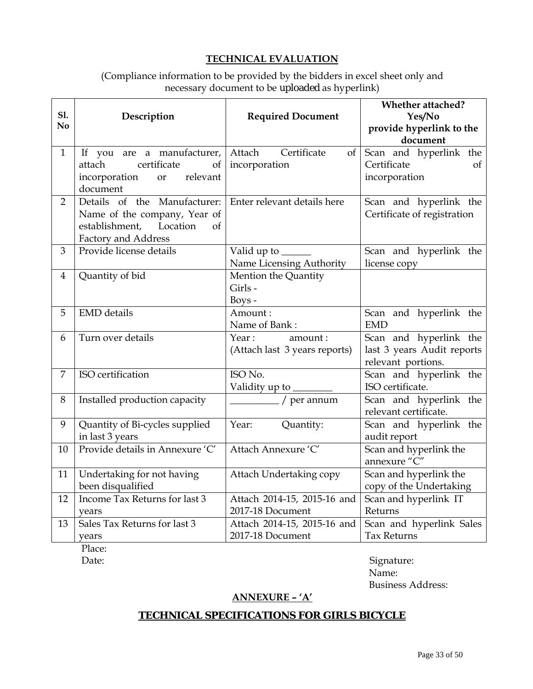# **TECHNICAL EVALUATION**

# (Compliance information to be provided by the bidders in excel sheet only and necessary document to be uploaded as hyperlink)

| <b>S1.</b><br>No | Description                                                                                                          | <b>Required Document</b>                                  | <b>Whether attached?</b><br>Yes/No<br>provide hyperlink to the<br>document |  |
|------------------|----------------------------------------------------------------------------------------------------------------------|-----------------------------------------------------------|----------------------------------------------------------------------------|--|
| $\mathbf{1}$     | If you are a manufacturer,<br>certificate<br>attach<br>of<br>incorporation<br>relevant<br><b>or</b><br>document      | Certificate<br>Attach<br>of<br>incorporation              | Scan and hyperlink the<br>Certificate<br>of<br>incorporation               |  |
| $\overline{2}$   | Details of the Manufacturer:<br>Name of the company, Year of<br>establishment, Location<br>of<br>Factory and Address | Enter relevant details here                               | Scan and hyperlink the<br>Certificate of registration                      |  |
| 3                | Provide license details                                                                                              | Valid up to ______<br>Name Licensing Authority            | Scan and hyperlink the<br>license copy                                     |  |
| 4                | Quantity of bid                                                                                                      | Mention the Quantity<br>Girls -<br>Boys -                 |                                                                            |  |
| 5                | <b>EMD</b> details                                                                                                   | Amount:<br>Name of Bank:                                  | Scan and hyperlink the<br><b>EMD</b>                                       |  |
| 6                | Turn over details                                                                                                    | Year:<br>amount:<br>(Attach last 3 years reports)         | Scan and hyperlink the<br>last 3 years Audit reports<br>relevant portions. |  |
| 7                | ISO certification                                                                                                    | ISO No.<br>Validity up to _______                         | Scan and hyperlink the<br>ISO certificate.                                 |  |
| 8                | Installed production capacity                                                                                        | $\frac{1}{\sqrt{1-\frac{1}{2}}}\int \rho e^{i\phi}$ annum | Scan and hyperlink the<br>relevant certificate.                            |  |
| 9                | Quantity of Bi-cycles supplied<br>in last 3 years                                                                    | Year:<br>Quantity:                                        | Scan and hyperlink the<br>audit report                                     |  |
| 10               | Provide details in Annexure 'C'                                                                                      | Attach Annexure 'C'                                       | Scan and hyperlink the<br>annexure "C"                                     |  |
| 11               | Undertaking for not having<br>been disqualified                                                                      | Attach Undertaking copy                                   | Scan and hyperlink the<br>copy of the Undertaking                          |  |
| 12               | Income Tax Returns for last 3<br>years                                                                               | Attach 2014-15, 2015-16 and<br>2017-18 Document           | Scan and hyperlink IT<br>Returns                                           |  |
| 13               | Sales Tax Returns for last 3<br>years                                                                                | Attach 2014-15, 2015-16 and<br>2017-18 Document           | Scan and hyperlink Sales<br><b>Tax Returns</b>                             |  |

Place:

Date: Signature: Signature: Signature: Signature: Signature: Signature: Signature: Signature: Signature: Signature: Signature: Signature: Signature: Signature: Signature: Signature: Signature: Signature: Signature: Signatu Name: Business Address:

# **ANNEXURE – 'A'**

# **TECHNICAL SPECIFICATIONS FOR GIRLS BICYCLE**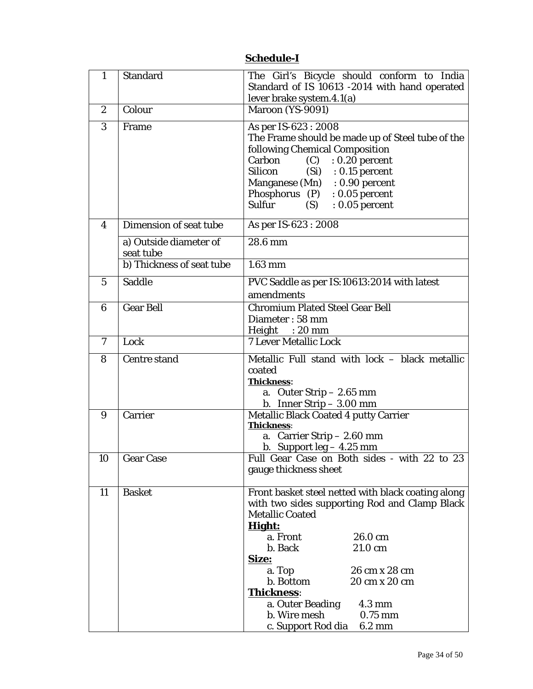| $\mathbf{1}$     | <b>Standard</b>                     | The Girl's Bicycle should conform to India<br>Standard of IS 10613 -2014 with hand operated                                                                                                                                                                                                                                                      |  |  |
|------------------|-------------------------------------|--------------------------------------------------------------------------------------------------------------------------------------------------------------------------------------------------------------------------------------------------------------------------------------------------------------------------------------------------|--|--|
|                  |                                     | lever brake system.4.1(a)                                                                                                                                                                                                                                                                                                                        |  |  |
| $\boldsymbol{2}$ | Colour                              | Maroon (YS-9091)                                                                                                                                                                                                                                                                                                                                 |  |  |
| 3                | Frame                               | As per IS-623 : 2008<br>The Frame should be made up of Steel tube of the<br>following Chemical Composition<br>$(C)$ : 0.20 percent<br>Carbon<br>Silicon (Si) : 0.15 percent<br>Manganese (Mn) : 0.90 percent<br>Phosphorus $(P)$ : 0.05 percent<br>Sulfur<br>$: 0.05$ percent<br>(S)                                                             |  |  |
| 4                | Dimension of seat tube              | As per IS-623 : 2008                                                                                                                                                                                                                                                                                                                             |  |  |
|                  | a) Outside diameter of<br>seat tube | 28.6 mm                                                                                                                                                                                                                                                                                                                                          |  |  |
|                  | b) Thickness of seat tube           | $1.63$ mm                                                                                                                                                                                                                                                                                                                                        |  |  |
| $\overline{5}$   | Saddle                              | PVC Saddle as per IS:10613:2014 with latest<br>amendments                                                                                                                                                                                                                                                                                        |  |  |
| $6\phantom{1}6$  | <b>Gear Bell</b>                    | <b>Chromium Plated Steel Gear Bell</b><br>Diameter: 58 mm<br>Height : 20 mm                                                                                                                                                                                                                                                                      |  |  |
| $\mathbf{7}$     | Lock                                | <b>7 Lever Metallic Lock</b>                                                                                                                                                                                                                                                                                                                     |  |  |
| 8                | <b>Centre stand</b>                 | Metallic Full stand with lock - black metallic<br>coated<br><b>Thickness:</b><br>a. Outer Strip $-2.65$ mm<br>b. Inner Strip $-3.00$ mm                                                                                                                                                                                                          |  |  |
| 9                | Carrier                             | <b>Metallic Black Coated 4 putty Carrier</b>                                                                                                                                                                                                                                                                                                     |  |  |
|                  |                                     | Thickness:                                                                                                                                                                                                                                                                                                                                       |  |  |
|                  |                                     | a. Carrier Strip $-2.60$ mm                                                                                                                                                                                                                                                                                                                      |  |  |
|                  |                                     | b. Support $leg - 4.25$ mm                                                                                                                                                                                                                                                                                                                       |  |  |
|                  | 10 Gear Case                        | Full Gear Case on Both sides - with 22 to 23<br>gauge thickness sheet                                                                                                                                                                                                                                                                            |  |  |
| 11               | <b>Basket</b>                       | Front basket steel netted with black coating along<br>with two sides supporting Rod and Clamp Black<br><b>Metallic Coated</b><br>Hight:<br>a. Front<br>26.0 cm<br>b. Back<br>21.0 cm<br>Size:<br>a. Top<br>26 cm x 28 cm<br>b. Bottom<br>20 cm x 20 cm<br><b>Thickness:</b><br>a. Outer Beading<br>$4.3 \text{ mm}$<br>b. Wire mesh<br>$0.75$ mm |  |  |
|                  |                                     | c. Support Rod dia<br>$6.2 \text{ mm}$                                                                                                                                                                                                                                                                                                           |  |  |

# **Schedule-I**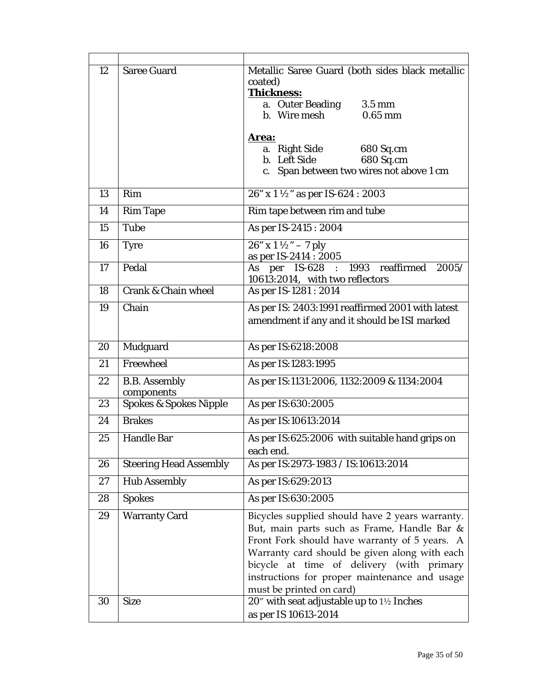| 12 | <b>Saree Guard</b>                              | Metallic Saree Guard (both sides black metallic                                            |  |  |
|----|-------------------------------------------------|--------------------------------------------------------------------------------------------|--|--|
|    |                                                 | coated)<br>Thickness:                                                                      |  |  |
|    |                                                 | a. Outer Beading<br>$3.5 \text{ mm}$                                                       |  |  |
|    |                                                 | b. Wire mesh<br>$0.65$ mm                                                                  |  |  |
|    |                                                 | Area:                                                                                      |  |  |
|    |                                                 | a.   Right Side<br>680 Sq.cm                                                               |  |  |
|    |                                                 | b. Left Side<br>680 Sq.cm                                                                  |  |  |
|    |                                                 | c. Span between two wires not above 1 cm                                                   |  |  |
| 13 | Rim                                             | 26" x 1 ½" as per IS-624 : 2003                                                            |  |  |
| 14 | <b>Rim Tape</b>                                 | Rim tape between rim and tube                                                              |  |  |
| 15 | <b>Tube</b>                                     | As per IS-2415 : 2004                                                                      |  |  |
| 16 | <b>Tyre</b>                                     | $\sqrt{26" \times 1\frac{1}{2} - 7}$ ply                                                   |  |  |
|    |                                                 | as per IS-2414 : 2005                                                                      |  |  |
| 17 | Pedal                                           | As per IS-628 : 1993 reaffirmed<br>2005/<br>10613:2014, with two reflectors                |  |  |
| 18 | <b>Crank &amp; Chain wheel</b>                  | As per IS-1281 : 2014                                                                      |  |  |
| 19 | Chain                                           | As per IS: 2403:1991 reaffirmed 2001 with latest                                           |  |  |
|    |                                                 | amendment if any and it should be ISI marked                                               |  |  |
|    |                                                 |                                                                                            |  |  |
| 20 | Mudguard                                        | As per IS:6218:2008                                                                        |  |  |
| 21 | Freewheel                                       | As per IS:1283:1995                                                                        |  |  |
| 22 | <b>B.B.</b> Assembly                            | As per IS:1131:2006, 1132:2009 & 1134:2004                                                 |  |  |
| 23 | components<br><b>Spokes &amp; Spokes Nipple</b> | As per IS:630:2005                                                                         |  |  |
| 24 | <b>Brakes</b>                                   | As per IS:10613:2014                                                                       |  |  |
|    |                                                 |                                                                                            |  |  |
| 25 | <b>Handle Bar</b>                               | As per IS:625:2006 with suitable hand grips on                                             |  |  |
|    |                                                 | each end.                                                                                  |  |  |
| 26 | <b>Steering Head Assembly</b>                   | As per IS:2973-1983 / IS:10613:2014                                                        |  |  |
| 27 | <b>Hub Assembly</b>                             | As per IS:629:2013                                                                         |  |  |
| 28 | <b>Spokes</b>                                   | As per IS:630:2005                                                                         |  |  |
| 29 | <b>Warranty Card</b>                            | Bicycles supplied should have 2 years warranty.                                            |  |  |
|    |                                                 | But, main parts such as Frame, Handle Bar &                                                |  |  |
|    |                                                 | Front Fork should have warranty of 5 years. A                                              |  |  |
|    |                                                 | Warranty card should be given along with each<br>bicycle at time of delivery (with primary |  |  |
|    |                                                 | instructions for proper maintenance and usage                                              |  |  |
|    |                                                 | must be printed on card)                                                                   |  |  |
| 30 | <b>Size</b>                                     | 20" with seat adjustable up to 1½ Inches                                                   |  |  |
|    |                                                 | as per IS 10613-2014                                                                       |  |  |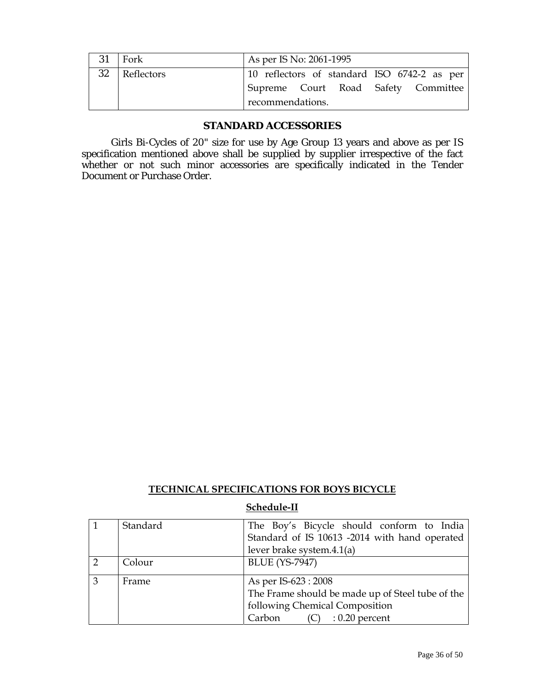| 31 | Fork       | As per IS No: 2061-1995                     |  |  |  |
|----|------------|---------------------------------------------|--|--|--|
| 32 | Reflectors | 10 reflectors of standard ISO 6742-2 as per |  |  |  |
|    |            | Supreme Court Road Safety Committee         |  |  |  |
|    |            | recommendations.                            |  |  |  |

## **STANDARD ACCESSORIES**

 Girls Bi-Cycles of 20" size for use by Age Group 13 years and above as per IS specification mentioned above shall be supplied by supplier irrespective of the fact whether or not such minor accessories are specifically indicated in the Tender Document or Purchase Order.

## **TECHNICAL SPECIFICATIONS FOR BOYS BICYCLE**

#### **Schedule-II**

|   | Standard | The Boy's Bicycle should conform to India<br>Standard of IS 10613 -2014 with hand operated |  |  |
|---|----------|--------------------------------------------------------------------------------------------|--|--|
|   |          | lever brake system.4.1(a)                                                                  |  |  |
|   | Colour   | <b>BLUE</b> (YS-7947)                                                                      |  |  |
| 3 | Frame    | As per IS-623 : 2008                                                                       |  |  |
|   |          | The Frame should be made up of Steel tube of the                                           |  |  |
|   |          | following Chemical Composition                                                             |  |  |
|   |          | Carbon<br>$(C)$ : 0.20 percent                                                             |  |  |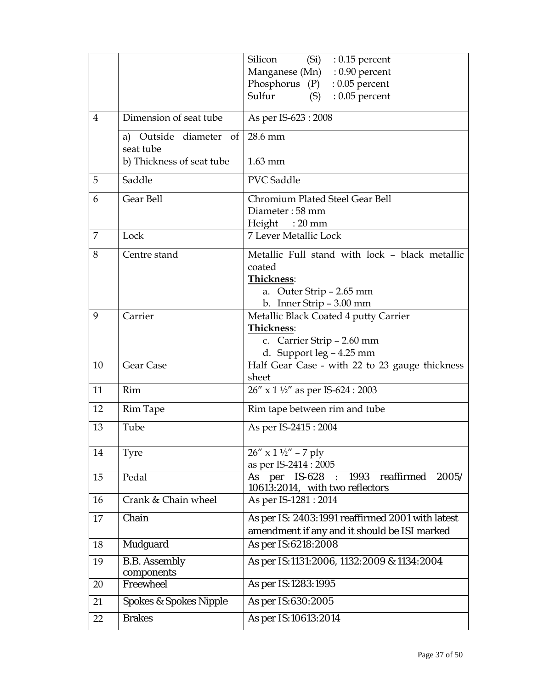|                |                                        | Silicon<br>$(Si)$ : 0.15 percent                                                                                     |
|----------------|----------------------------------------|----------------------------------------------------------------------------------------------------------------------|
|                |                                        | Manganese (Mn) : 0.90 percent                                                                                        |
|                |                                        | Phosphorus (P)<br>$: 0.05$ percent                                                                                   |
|                |                                        | Sulfur<br>$: 0.05$ percent<br>(S)                                                                                    |
| $\overline{4}$ | Dimension of seat tube                 | As per IS-623 : 2008                                                                                                 |
|                | Outside diameter of<br>a)<br>seat tube | 28.6 mm                                                                                                              |
|                | b) Thickness of seat tube              | $1.63$ mm                                                                                                            |
| 5              | Saddle                                 | <b>PVC</b> Saddle                                                                                                    |
| 6              | Gear Bell                              | Chromium Plated Steel Gear Bell                                                                                      |
|                |                                        | Diameter: 58 mm                                                                                                      |
|                |                                        | Height: 20 mm                                                                                                        |
| 7              | Lock                                   | <b>7 Lever Metallic Lock</b>                                                                                         |
| 8              | Centre stand                           | Metallic Full stand with lock - black metallic                                                                       |
|                |                                        | coated                                                                                                               |
|                |                                        | Thickness:                                                                                                           |
|                |                                        | a. Outer Strip - 2.65 mm                                                                                             |
|                |                                        | b. Inner Strip - 3.00 mm                                                                                             |
| 9              | Carrier                                | Metallic Black Coated 4 putty Carrier                                                                                |
|                |                                        | Thickness:                                                                                                           |
|                |                                        | c. Carrier Strip - 2.60 mm<br>d. Support leg - 4.25 mm                                                               |
| 10             | Gear Case                              | Half Gear Case - with 22 to 23 gauge thickness                                                                       |
|                |                                        | sheet                                                                                                                |
| 11             | Rim                                    | 26" x 1 1/2" as per IS-624 : 2003                                                                                    |
| 12             | <b>Rim Tape</b>                        | Rim tape between rim and tube                                                                                        |
| 13             | Tube                                   | As per IS-2415: 2004                                                                                                 |
| 14             | Tyre                                   | $26''$ x $1\frac{1}{2}$ " – 7 ply                                                                                    |
|                |                                        | as per IS-2414 : 2005                                                                                                |
| 15             | Pedal                                  | reaffirmed<br>1993<br><b>IS-628</b><br>2005/<br>As<br>per<br>$\ddot{\phantom{a}}$<br>10613:2014, with two reflectors |
| 16             | Crank & Chain wheel                    | As per IS-1281 : 2014                                                                                                |
| 17             | Chain                                  | As per IS: 2403:1991 reaffirmed 2001 with latest<br>amendment if any and it should be ISI marked                     |
| 18             | Mudguard                               | As per IS:6218:2008                                                                                                  |
| 19             | <b>B.B.</b> Assembly<br>components     | As per IS:1131:2006, 1132:2009 & 1134:2004                                                                           |
| 20             | Freewheel                              | As per IS:1283:1995                                                                                                  |
| 21             | <b>Spokes &amp; Spokes Nipple</b>      | As per IS:630:2005                                                                                                   |
| 22             | <b>Brakes</b>                          | As per IS:10613:2014                                                                                                 |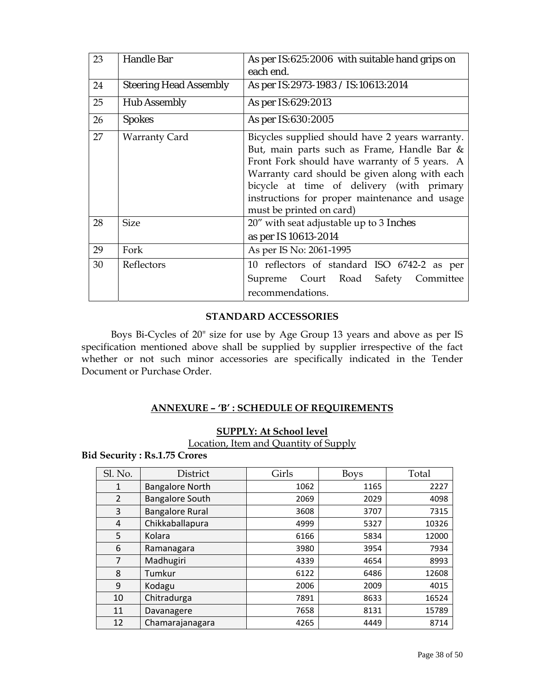| 23 | <b>Handle Bar</b>             | As per IS:625:2006 with suitable hand grips on                                                                                                                                                                                                                                                                             |  |  |
|----|-------------------------------|----------------------------------------------------------------------------------------------------------------------------------------------------------------------------------------------------------------------------------------------------------------------------------------------------------------------------|--|--|
|    |                               | each end.                                                                                                                                                                                                                                                                                                                  |  |  |
| 24 | <b>Steering Head Assembly</b> | As per IS:2973-1983 / IS:10613:2014                                                                                                                                                                                                                                                                                        |  |  |
| 25 | <b>Hub Assembly</b>           | As per IS:629:2013                                                                                                                                                                                                                                                                                                         |  |  |
| 26 | <b>Spokes</b>                 | As per IS:630:2005                                                                                                                                                                                                                                                                                                         |  |  |
| 27 | <b>Warranty Card</b>          | Bicycles supplied should have 2 years warranty.<br>But, main parts such as Frame, Handle Bar &<br>Front Fork should have warranty of 5 years. A<br>Warranty card should be given along with each<br>bicycle at time of delivery (with primary<br>instructions for proper maintenance and usage<br>must be printed on card) |  |  |
| 28 | <b>Size</b>                   | 20" with seat adjustable up to 3 Inches<br>as per IS 10613-2014                                                                                                                                                                                                                                                            |  |  |
| 29 | Fork                          | As per IS No: 2061-1995                                                                                                                                                                                                                                                                                                    |  |  |
| 30 | Reflectors                    | 10 reflectors of standard ISO 6742-2 as per<br>Supreme Court Road Safety Committee<br>recommendations.                                                                                                                                                                                                                     |  |  |

# **STANDARD ACCESSORIES**

 Boys Bi-Cycles of 20" size for use by Age Group 13 years and above as per IS specification mentioned above shall be supplied by supplier irrespective of the fact whether or not such minor accessories are specifically indicated in the Tender Document or Purchase Order.

# **ANNEXURE – 'B' : SCHEDULE OF REQUIREMENTS**

## **SUPPLY: At School level**

Location, Item and Quantity of Supply

**Bid Security : Rs.1.75 Crores** 

| Sl. No.        | District               | Girls | <b>Boys</b> | Total |
|----------------|------------------------|-------|-------------|-------|
| 1              | <b>Bangalore North</b> | 1062  | 1165        | 2227  |
| $\overline{2}$ | <b>Bangalore South</b> | 2069  | 2029        | 4098  |
| 3              | <b>Bangalore Rural</b> | 3608  | 3707        | 7315  |
| 4              | Chikkaballapura        | 4999  | 5327        | 10326 |
| 5              | Kolara                 | 6166  | 5834        | 12000 |
| 6              | Ramanagara             | 3980  | 3954        | 7934  |
| 7              | Madhugiri              | 4339  | 4654        | 8993  |
| 8              | Tumkur                 | 6122  | 6486        | 12608 |
| 9              | Kodagu                 | 2006  | 2009        | 4015  |
| 10             | Chitradurga            | 7891  | 8633        | 16524 |
| 11             | Davanagere             | 7658  | 8131        | 15789 |
| 12             | Chamarajanagara        | 4265  | 4449        | 8714  |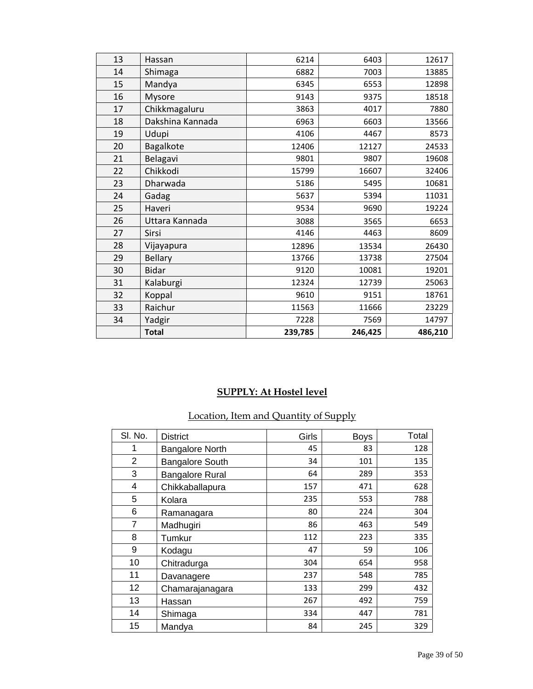| 13 | Hassan           | 6214    | 6403    | 12617   |
|----|------------------|---------|---------|---------|
| 14 | Shimaga          | 6882    | 7003    | 13885   |
| 15 | Mandya           | 6345    | 6553    | 12898   |
| 16 | Mysore           | 9143    | 9375    | 18518   |
| 17 | Chikkmagaluru    | 3863    | 4017    | 7880    |
| 18 | Dakshina Kannada | 6963    | 6603    | 13566   |
| 19 | Udupi            | 4106    | 4467    | 8573    |
| 20 | Bagalkote        | 12406   | 12127   | 24533   |
| 21 | Belagavi         | 9801    | 9807    | 19608   |
| 22 | Chikkodi         | 15799   | 16607   | 32406   |
| 23 | Dharwada         | 5186    | 5495    | 10681   |
| 24 | Gadag            | 5637    | 5394    | 11031   |
| 25 | Haveri           | 9534    | 9690    | 19224   |
| 26 | Uttara Kannada   | 3088    | 3565    | 6653    |
| 27 | Sirsi            | 4146    | 4463    | 8609    |
| 28 | Vijayapura       | 12896   | 13534   | 26430   |
| 29 | <b>Bellary</b>   | 13766   | 13738   | 27504   |
| 30 | <b>Bidar</b>     | 9120    | 10081   | 19201   |
| 31 | Kalaburgi        | 12324   | 12739   | 25063   |
| 32 | Koppal           | 9610    | 9151    | 18761   |
| 33 | Raichur          | 11563   | 11666   | 23229   |
| 34 | Yadgir           | 7228    | 7569    | 14797   |
|    | <b>Total</b>     | 239,785 | 246,425 | 486,210 |

# **SUPPLY: At Hostel level**

# Location, Item and Quantity of Supply

| SI. No. | <b>District</b>        | Girls | <b>Boys</b> | Total |
|---------|------------------------|-------|-------------|-------|
| 1       | <b>Bangalore North</b> | 45    | 83          | 128   |
| 2       | <b>Bangalore South</b> | 34    | 101         | 135   |
| 3       | <b>Bangalore Rural</b> | 64    | 289         | 353   |
| 4       | Chikkaballapura        | 157   | 471         | 628   |
| 5       | Kolara                 | 235   | 553         | 788   |
| 6       | Ramanagara             | 80    | 224         | 304   |
| 7       | Madhugiri              | 86    | 463         | 549   |
| 8       | Tumkur                 | 112   | 223         | 335   |
| 9       | Kodagu                 | 47    | 59          | 106   |
| 10      | Chitradurga            | 304   | 654         | 958   |
| 11      | Davanagere             | 237   | 548         | 785   |
| 12      | Chamarajanagara        | 133   | 299         | 432   |
| 13      | Hassan                 | 267   | 492         | 759   |
| 14      | Shimaga                | 334   | 447         | 781   |
| 15      | Mandya                 | 84    | 245         | 329   |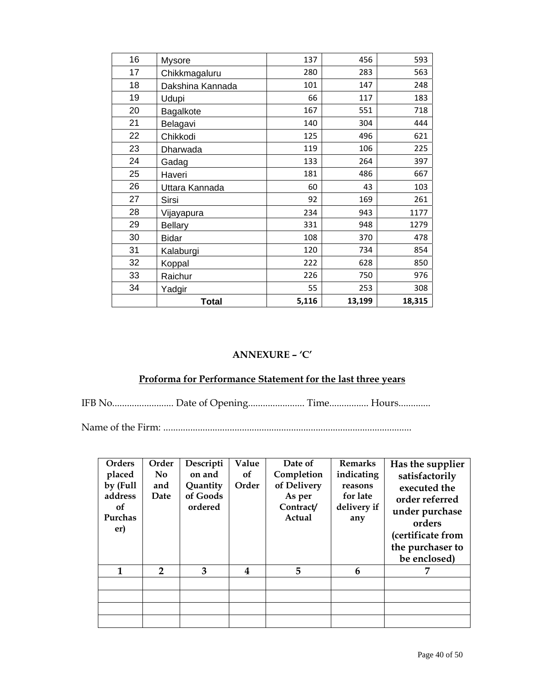| 16 | <b>Mysore</b>    | 137   | 456    | 593    |
|----|------------------|-------|--------|--------|
| 17 | Chikkmagaluru    | 280   | 283    | 563    |
| 18 | Dakshina Kannada | 101   | 147    | 248    |
| 19 | Udupi            | 66    | 117    | 183    |
| 20 | Bagalkote        | 167   | 551    | 718    |
| 21 | Belagavi         | 140   | 304    | 444    |
| 22 | Chikkodi         | 125   | 496    | 621    |
| 23 | Dharwada         | 119   | 106    | 225    |
| 24 | Gadag            | 133   | 264    | 397    |
| 25 | Haveri           | 181   | 486    | 667    |
| 26 | Uttara Kannada   | 60    | 43     | 103    |
| 27 | Sirsi            | 92    | 169    | 261    |
| 28 | Vijayapura       | 234   | 943    | 1177   |
| 29 | <b>Bellary</b>   | 331   | 948    | 1279   |
| 30 | <b>Bidar</b>     | 108   | 370    | 478    |
| 31 | Kalaburgi        | 120   | 734    | 854    |
| 32 | Koppal           | 222   | 628    | 850    |
| 33 | Raichur          | 226   | 750    | 976    |
| 34 | Yadgir           | 55    | 253    | 308    |
|    | <b>Total</b>     | 5,116 | 13,199 | 18,315 |

# **ANNEXURE – 'C'**

# **Proforma for Performance Statement for the last three years**

IFB No......................... Date of Opening....................... Time................ Hours.............

Name of the Firm: .....................................................................................................

| <b>Orders</b>                               | Order          | Descripti                       | Value     | Date of                                      | <b>Remarks</b>                            | Has the supplier                                                                                    |
|---------------------------------------------|----------------|---------------------------------|-----------|----------------------------------------------|-------------------------------------------|-----------------------------------------------------------------------------------------------------|
| placed                                      | N <sub>0</sub> | on and                          | <b>of</b> | Completion                                   | indicating                                | satisfactorily                                                                                      |
| by (Full<br>address<br>of<br>Purchas<br>er) | and<br>Date    | Quantity<br>of Goods<br>ordered | Order     | of Delivery<br>As per<br>Contract/<br>Actual | reasons<br>for late<br>delivery if<br>any | executed the<br>order referred<br>under purchase<br>orders<br>(certificate from<br>the purchaser to |
|                                             |                |                                 |           |                                              |                                           | be enclosed)                                                                                        |
| 1                                           | $\mathbf{2}$   | 3                               | 4         | 5                                            | 6                                         |                                                                                                     |
|                                             |                |                                 |           |                                              |                                           |                                                                                                     |
|                                             |                |                                 |           |                                              |                                           |                                                                                                     |
|                                             |                |                                 |           |                                              |                                           |                                                                                                     |
|                                             |                |                                 |           |                                              |                                           |                                                                                                     |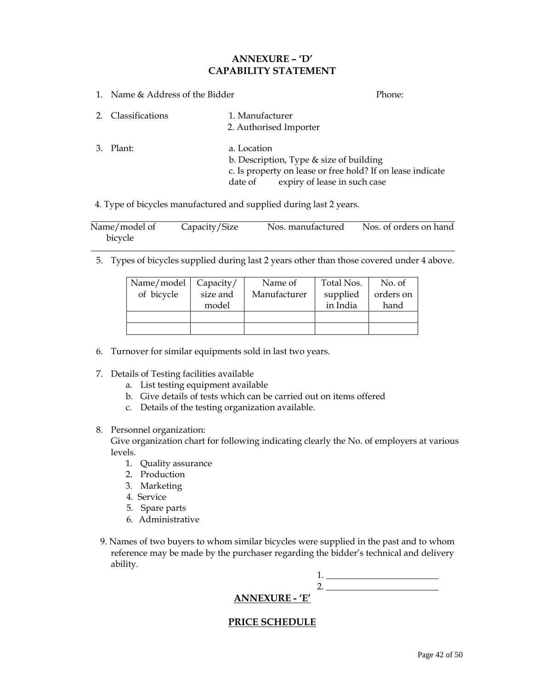## **ANNEXURE – 'D' CAPABILITY STATEMENT**

1. Name & Address of the Bidder **Phone:** Phone: 2. Classifications 1. Manufacturer 2. Authorised Importer 3. Plant: a. Location b. Description, Type & size of building c. Is property on lease or free hold? If on lease indicate date of expiry of lease in such case

4. Type of bicycles manufactured and supplied during last 2 years.

| Name/model of | Capacity/Size | Nos. manufactured | Nos. of orders on hand |
|---------------|---------------|-------------------|------------------------|
| bicycle       |               |                   |                        |

5. Types of bicycles supplied during last 2 years other than those covered under 4 above.

| Name/model<br>of bicycle | Capacity/<br>size and<br>model | Name of<br>Manufacturer | Total Nos.<br>supplied<br>in India | No. of<br>orders on<br>hand |
|--------------------------|--------------------------------|-------------------------|------------------------------------|-----------------------------|
|                          |                                |                         |                                    |                             |

- 6. Turnover for similar equipments sold in last two years.
- 7. Details of Testing facilities available
	- a. List testing equipment available
	- b. Give details of tests which can be carried out on items offered
	- c. Details of the testing organization available.
- 8. Personnel organization:

Give organization chart for following indicating clearly the No. of employers at various levels.

- 1. Quality assurance
- 2. Production
- 3. Marketing
- 4. Service
- 5. Spare parts
- 6. Administrative
- 9. Names of two buyers to whom similar bicycles were supplied in the past and to whom reference may be made by the purchaser regarding the bidder's technical and delivery ability.

|  | $\sim$ - -- ---- -- -- -- -- -- - |  |
|--|-----------------------------------|--|

## **ANNEXURE - 'E'**

## **PRICE SCHEDULE**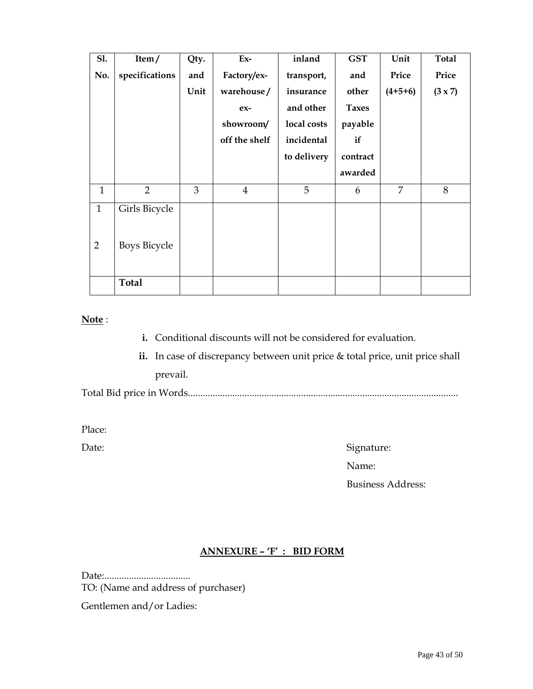| S1.            | Item/               | Qty. | $Ex-$          | inland      | <b>GST</b>   | Unit      | Total          |
|----------------|---------------------|------|----------------|-------------|--------------|-----------|----------------|
| No.            | specifications      | and  | Factory/ex-    | transport,  | and          | Price     | Price          |
|                |                     | Unit | warehouse/     | insurance   | other        | $(4+5+6)$ | $(3 \times 7)$ |
|                |                     |      | $ex-$          | and other   | <b>Taxes</b> |           |                |
|                |                     |      | showroom/      | local costs | payable      |           |                |
|                |                     |      | off the shelf  | incidental  | if           |           |                |
|                |                     |      |                | to delivery | contract     |           |                |
|                |                     |      |                |             | awarded      |           |                |
| $\mathbf{1}$   | $\overline{2}$      | 3    | $\overline{4}$ | 5           | 6            | 7         | 8              |
| $\mathbf{1}$   | Girls Bicycle       |      |                |             |              |           |                |
| $\overline{2}$ | <b>Boys Bicycle</b> |      |                |             |              |           |                |
|                | <b>Total</b>        |      |                |             |              |           |                |

#### **Note** :

- **i.** Conditional discounts will not be considered for evaluation.
- **ii.** In case of discrepancy between unit price & total price, unit price shall prevail.

Total Bid price in Words..............................................................................................................

Place:

Date: Signature: Signature: Signature: Signature: Signature: Signature: Signature: Signature: Signature: Signature: Signature: Signature: Signature: Signature: Signature: Signature: Signature: Signature: Signature: Signatu

Name:

Business Address:

# **ANNEXURE – 'F' : BID FORM**

Date:................................... TO: (Name and address of purchaser) Gentlemen and/or Ladies: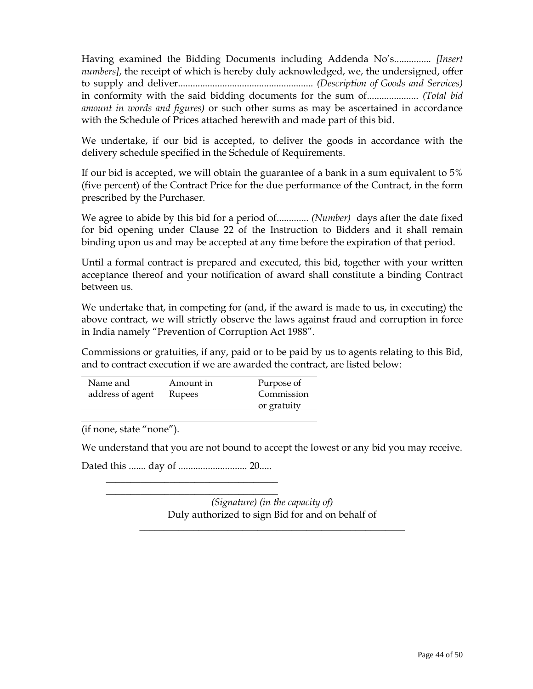Having examined the Bidding Documents including Addenda No's............... *[Insert numbers]*, the receipt of which is hereby duly acknowledged, we, the undersigned, offer to supply and deliver....................................................... *(Description of Goods and Services)* in conformity with the said bidding documents for the sum of..................... *(Total bid amount in words and figures)* or such other sums as may be ascertained in accordance with the Schedule of Prices attached herewith and made part of this bid.

We undertake, if our bid is accepted, to deliver the goods in accordance with the delivery schedule specified in the Schedule of Requirements.

If our bid is accepted, we will obtain the guarantee of a bank in a sum equivalent to 5% (five percent) of the Contract Price for the due performance of the Contract, in the form prescribed by the Purchaser.

We agree to abide by this bid for a period of............. *(Number)* days after the date fixed for bid opening under Clause 22 of the Instruction to Bidders and it shall remain binding upon us and may be accepted at any time before the expiration of that period.

Until a formal contract is prepared and executed, this bid, together with your written acceptance thereof and your notification of award shall constitute a binding Contract between us.

We undertake that, in competing for (and, if the award is made to us, in executing) the above contract, we will strictly observe the laws against fraud and corruption in force in India namely "Prevention of Corruption Act 1988".

Commissions or gratuities, if any, paid or to be paid by us to agents relating to this Bid, and to contract execution if we are awarded the contract, are listed below:

| Name and         | Amount in | Purpose of  |
|------------------|-----------|-------------|
| address of agent | Rupees    | Commission  |
|                  |           | or gratuity |

(if none, state "none").

 $\overline{a}$ 

We understand that you are not bound to accept the lowest or any bid you may receive.

Dated this ....... day of ............................ 20.....  $\frac{1}{2}$  ,  $\frac{1}{2}$  ,  $\frac{1}{2}$  ,  $\frac{1}{2}$  ,  $\frac{1}{2}$  ,  $\frac{1}{2}$  ,  $\frac{1}{2}$  ,  $\frac{1}{2}$  ,  $\frac{1}{2}$  ,  $\frac{1}{2}$  ,  $\frac{1}{2}$  ,  $\frac{1}{2}$  ,  $\frac{1}{2}$  ,  $\frac{1}{2}$  ,  $\frac{1}{2}$  ,  $\frac{1}{2}$  ,  $\frac{1}{2}$  ,  $\frac{1}{2}$  ,  $\frac{1$ 

 $\mathcal{L}=\mathcal{L}=\mathcal{L}=\mathcal{L}=\mathcal{L}=\mathcal{L}=\mathcal{L}=\mathcal{L}=\mathcal{L}=\mathcal{L}=\mathcal{L}=\mathcal{L}=\mathcal{L}=\mathcal{L}=\mathcal{L}=\mathcal{L}=\mathcal{L}=\mathcal{L}=\mathcal{L}=\mathcal{L}=\mathcal{L}=\mathcal{L}=\mathcal{L}=\mathcal{L}=\mathcal{L}=\mathcal{L}=\mathcal{L}=\mathcal{L}=\mathcal{L}=\mathcal{L}=\mathcal{L}=\mathcal{L}=\mathcal{L}=\mathcal{L}=\mathcal{L}=\mathcal{L}=\mathcal{$ 

*(Signature) (in the capacity of)*  Duly authorized to sign Bid for and on behalf of

 $\frac{1}{2}$  ,  $\frac{1}{2}$  ,  $\frac{1}{2}$  ,  $\frac{1}{2}$  ,  $\frac{1}{2}$  ,  $\frac{1}{2}$  ,  $\frac{1}{2}$  ,  $\frac{1}{2}$  ,  $\frac{1}{2}$  ,  $\frac{1}{2}$  ,  $\frac{1}{2}$  ,  $\frac{1}{2}$  ,  $\frac{1}{2}$  ,  $\frac{1}{2}$  ,  $\frac{1}{2}$  ,  $\frac{1}{2}$  ,  $\frac{1}{2}$  ,  $\frac{1}{2}$  ,  $\frac{1$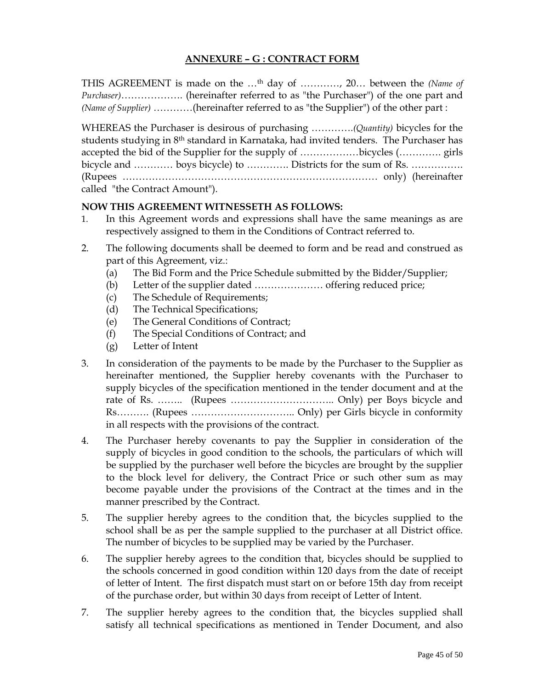# **ANNEXURE – G : CONTRACT FORM**

THIS AGREEMENT is made on the …th day of …………, 20… between the *(Name of Purchaser)*………………. (hereinafter referred to as "the Purchaser") of the one part and *(Name of Supplier)* …………(hereinafter referred to as "the Supplier") of the other part :

WHEREAS the Purchaser is desirous of purchasing ………….*(Quantity)* bicycles for the students studying in 8th standard in Karnataka, had invited tenders. The Purchaser has accepted the bid of the Supplier for the supply of ………………bicycles (…………. girls bicycle and ………… boys bicycle) to ………… Districts for the sum of Rs. …………… (Rupees …………………………………………………………………… only) (hereinafter called "the Contract Amount").

## **NOW THIS AGREEMENT WITNESSETH AS FOLLOWS:**

- 1. In this Agreement words and expressions shall have the same meanings as are respectively assigned to them in the Conditions of Contract referred to.
- 2. The following documents shall be deemed to form and be read and construed as part of this Agreement, viz.:
	- (a) The Bid Form and the Price Schedule submitted by the Bidder/Supplier;
	- (b) Letter of the supplier dated ………………… offering reduced price;
	- (c) The Schedule of Requirements;
	- (d) The Technical Specifications;
	- (e) The General Conditions of Contract;
	- (f) The Special Conditions of Contract; and
	- (g) Letter of Intent
- 3. In consideration of the payments to be made by the Purchaser to the Supplier as hereinafter mentioned, the Supplier hereby covenants with the Purchaser to supply bicycles of the specification mentioned in the tender document and at the rate of Rs. …….. (Rupees ………………………….. Only) per Boys bicycle and Rs………. (Rupees ………………………….. Only) per Girls bicycle in conformity in all respects with the provisions of the contract.
- 4. The Purchaser hereby covenants to pay the Supplier in consideration of the supply of bicycles in good condition to the schools, the particulars of which will be supplied by the purchaser well before the bicycles are brought by the supplier to the block level for delivery, the Contract Price or such other sum as may become payable under the provisions of the Contract at the times and in the manner prescribed by the Contract.
- 5. The supplier hereby agrees to the condition that, the bicycles supplied to the school shall be as per the sample supplied to the purchaser at all District office. The number of bicycles to be supplied may be varied by the Purchaser.
- 6. The supplier hereby agrees to the condition that, bicycles should be supplied to the schools concerned in good condition within 120 days from the date of receipt of letter of Intent. The first dispatch must start on or before 15th day from receipt of the purchase order, but within 30 days from receipt of Letter of Intent.
- 7. The supplier hereby agrees to the condition that, the bicycles supplied shall satisfy all technical specifications as mentioned in Tender Document, and also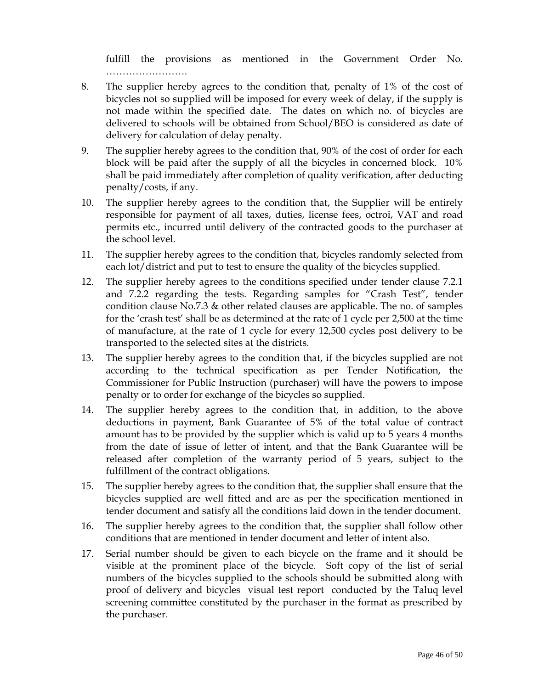fulfill the provisions as mentioned in the Government Order No. ……………………………

- 8. The supplier hereby agrees to the condition that, penalty of 1% of the cost of bicycles not so supplied will be imposed for every week of delay, if the supply is not made within the specified date. The dates on which no. of bicycles are delivered to schools will be obtained from School/BEO is considered as date of delivery for calculation of delay penalty.
- 9. The supplier hereby agrees to the condition that, 90% of the cost of order for each block will be paid after the supply of all the bicycles in concerned block. 10% shall be paid immediately after completion of quality verification, after deducting penalty/costs, if any.
- 10. The supplier hereby agrees to the condition that, the Supplier will be entirely responsible for payment of all taxes, duties, license fees, octroi, VAT and road permits etc., incurred until delivery of the contracted goods to the purchaser at the school level.
- 11. The supplier hereby agrees to the condition that, bicycles randomly selected from each lot/district and put to test to ensure the quality of the bicycles supplied.
- 12. The supplier hereby agrees to the conditions specified under tender clause 7.2.1 and 7.2.2 regarding the tests. Regarding samples for "Crash Test", tender condition clause No.7.3 & other related clauses are applicable. The no. of samples for the 'crash test' shall be as determined at the rate of 1 cycle per 2,500 at the time of manufacture, at the rate of 1 cycle for every 12,500 cycles post delivery to be transported to the selected sites at the districts.
- 13. The supplier hereby agrees to the condition that, if the bicycles supplied are not according to the technical specification as per Tender Notification, the Commissioner for Public Instruction (purchaser) will have the powers to impose penalty or to order for exchange of the bicycles so supplied.
- 14. The supplier hereby agrees to the condition that, in addition, to the above deductions in payment, Bank Guarantee of 5% of the total value of contract amount has to be provided by the supplier which is valid up to 5 years 4 months from the date of issue of letter of intent, and that the Bank Guarantee will be released after completion of the warranty period of 5 years, subject to the fulfillment of the contract obligations.
- 15. The supplier hereby agrees to the condition that, the supplier shall ensure that the bicycles supplied are well fitted and are as per the specification mentioned in tender document and satisfy all the conditions laid down in the tender document.
- 16. The supplier hereby agrees to the condition that, the supplier shall follow other conditions that are mentioned in tender document and letter of intent also.
- 17. Serial number should be given to each bicycle on the frame and it should be visible at the prominent place of the bicycle. Soft copy of the list of serial numbers of the bicycles supplied to the schools should be submitted along with proof of delivery and bicycles visual test report conducted by the Taluq level screening committee constituted by the purchaser in the format as prescribed by the purchaser.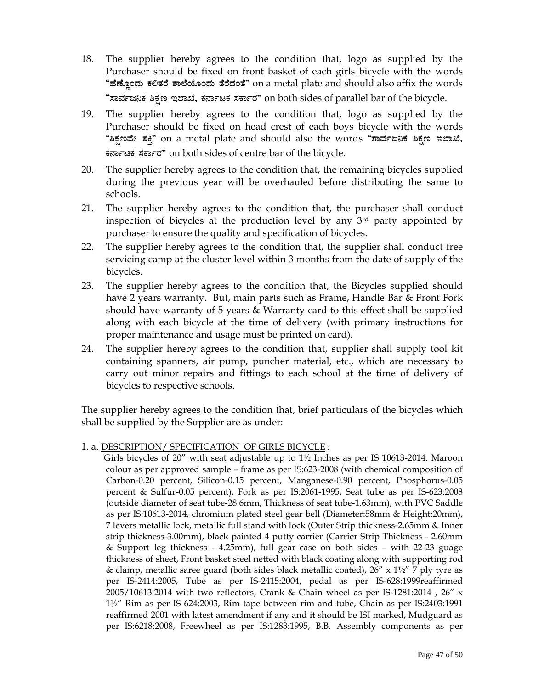- 18. The supplier hereby agrees to the condition that, logo as supplied by the Purchaser should be fixed on front basket of each girls bicycle with the words "ಹೆಣ್ಣೊಂದು ಕಲಿತರೆ ಶಾಲೆಯೊಂದು ತೆರೆದಂತೆ" on a metal plate and should also affix the words "ಸಾರ್ವಜನಿಕ ಶಿಕ್ಷಣ ಇಲಾಖೆ, ಕರ್ನಾಟಕ ಸರ್ಕಾರ" on both sides of parallel bar of the bicycle.
- 19. The supplier hereby agrees to the condition that, logo as supplied by the Purchaser should be fixed on head crest of each boys bicycle with the words "ಶಿಕ್ಷಣವೇ ಶಕ್ತಿ" on a metal plate and should also the words **"ಸಾರ್ವಜನಿಕ ಶಿಕ್ಷಣ ಇಲಾಖೆ, PÀ£ÁðlPÀ ¸ÀPÁðgÀ"** on both sides of centre bar of the bicycle.
- 20. The supplier hereby agrees to the condition that, the remaining bicycles supplied during the previous year will be overhauled before distributing the same to schools.
- 21. The supplier hereby agrees to the condition that, the purchaser shall conduct inspection of bicycles at the production level by any 3rd party appointed by purchaser to ensure the quality and specification of bicycles.
- 22. The supplier hereby agrees to the condition that, the supplier shall conduct free servicing camp at the cluster level within 3 months from the date of supply of the bicycles.
- 23. The supplier hereby agrees to the condition that, the Bicycles supplied should have 2 years warranty. But, main parts such as Frame, Handle Bar & Front Fork should have warranty of 5 years & Warranty card to this effect shall be supplied along with each bicycle at the time of delivery (with primary instructions for proper maintenance and usage must be printed on card).
- 24. The supplier hereby agrees to the condition that, supplier shall supply tool kit containing spanners, air pump, puncher material, etc., which are necessary to carry out minor repairs and fittings to each school at the time of delivery of bicycles to respective schools.

The supplier hereby agrees to the condition that, brief particulars of the bicycles which shall be supplied by the Supplier are as under:

1. a. DESCRIPTION/ SPECIFICATION OF GIRLS BICYCLE :

 Girls bicycles of 20" with seat adjustable up to 1½ Inches as per IS 10613-2014. Maroon colour as per approved sample – frame as per IS:623-2008 (with chemical composition of Carbon-0.20 percent, Silicon-0.15 percent, Manganese-0.90 percent, Phosphorus-0.05 percent & Sulfur-0.05 percent), Fork as per IS:2061-1995, Seat tube as per IS-623:2008 (outside diameter of seat tube-28.6mm, Thickness of seat tube-1.63mm), with PVC Saddle as per IS:10613-2014, chromium plated steel gear bell (Diameter:58mm & Height:20mm), 7 levers metallic lock, metallic full stand with lock (Outer Strip thickness-2.65mm & Inner strip thickness-3.00mm), black painted 4 putty carrier (Carrier Strip Thickness - 2.60mm & Support leg thickness - 4.25mm), full gear case on both sides – with 22-23 guage thickness of sheet, Front basket steel netted with black coating along with supporting rod & clamp, metallic saree guard (both sides black metallic coated),  $26'' \times 1\frac{1}{2}$  7 ply tyre as per IS-2414:2005, Tube as per IS-2415:2004, pedal as per IS-628:1999reaffirmed 2005/10613:2014 with two reflectors, Crank & Chain wheel as per IS-1281:2014 , 26" x 1½" Rim as per IS 624:2003, Rim tape between rim and tube, Chain as per IS:2403:1991 reaffirmed 2001 with latest amendment if any and it should be ISI marked, Mudguard as per IS:6218:2008, Freewheel as per IS:1283:1995, B.B. Assembly components as per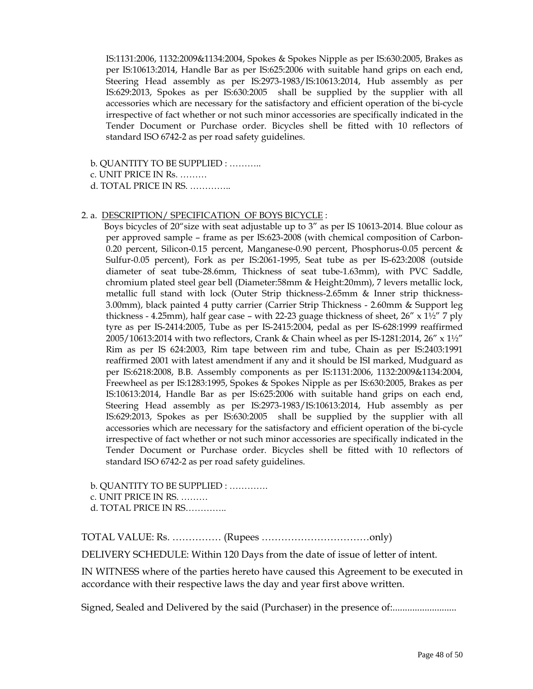IS:1131:2006, 1132:2009&1134:2004, Spokes & Spokes Nipple as per IS:630:2005, Brakes as per IS:10613:2014, Handle Bar as per IS:625:2006 with suitable hand grips on each end, Steering Head assembly as per IS:2973-1983/IS:10613:2014, Hub assembly as per IS:629:2013, Spokes as per IS:630:2005 shall be supplied by the supplier with all accessories which are necessary for the satisfactory and efficient operation of the bi-cycle irrespective of fact whether or not such minor accessories are specifically indicated in the Tender Document or Purchase order. Bicycles shell be fitted with 10 reflectors of standard ISO 6742-2 as per road safety guidelines.

- b. QUANTITY TO BE SUPPLIED : ………..
- c. UNIT PRICE IN Rs. ………

d. TOTAL PRICE IN RS. …………..

#### 2. a. DESCRIPTION/ SPECIFICATION OF BOYS BICYCLE :

Boys bicycles of 20" size with seat adjustable up to 3" as per IS 10613-2014. Blue colour as per approved sample – frame as per IS:623-2008 (with chemical composition of Carbon-0.20 percent, Silicon-0.15 percent, Manganese-0.90 percent, Phosphorus-0.05 percent & Sulfur-0.05 percent), Fork as per IS:2061-1995, Seat tube as per IS-623:2008 (outside diameter of seat tube-28.6mm, Thickness of seat tube-1.63mm), with PVC Saddle, chromium plated steel gear bell (Diameter:58mm & Height:20mm), 7 levers metallic lock, metallic full stand with lock (Outer Strip thickness-2.65mm & Inner strip thickness-3.00mm), black painted 4 putty carrier (Carrier Strip Thickness - 2.60mm & Support leg thickness - 4.25mm), half gear case – with 22-23 guage thickness of sheet,  $26'' \times 1\frac{1}{2}$  7 ply tyre as per IS-2414:2005, Tube as per IS-2415:2004, pedal as per IS-628:1999 reaffirmed  $2005/10613:2014$  with two reflectors, Crank & Chain wheel as per IS-1281:2014, 26" x 1½" Rim as per IS 624:2003, Rim tape between rim and tube, Chain as per IS:2403:1991 reaffirmed 2001 with latest amendment if any and it should be ISI marked, Mudguard as per IS:6218:2008, B.B. Assembly components as per IS:1131:2006, 1132:2009&1134:2004, Freewheel as per IS:1283:1995, Spokes & Spokes Nipple as per IS:630:2005, Brakes as per IS:10613:2014, Handle Bar as per IS:625:2006 with suitable hand grips on each end, Steering Head assembly as per IS:2973-1983/IS:10613:2014, Hub assembly as per IS:629:2013, Spokes as per IS:630:2005 shall be supplied by the supplier with all accessories which are necessary for the satisfactory and efficient operation of the bi-cycle irrespective of fact whether or not such minor accessories are specifically indicated in the Tender Document or Purchase order. Bicycles shell be fitted with 10 reflectors of standard ISO 6742-2 as per road safety guidelines.

 b. QUANTITY TO BE SUPPLIED : …………. c. UNIT PRICE IN RS. ………

d. TOTAL PRICE IN RS…………..

TOTAL VALUE: Rs. …………… (Rupees ……………………………only)

DELIVERY SCHEDULE: Within 120 Days from the date of issue of letter of intent.

IN WITNESS where of the parties hereto have caused this Agreement to be executed in accordance with their respective laws the day and year first above written.

Signed, Sealed and Delivered by the said (Purchaser) in the presence of:...........................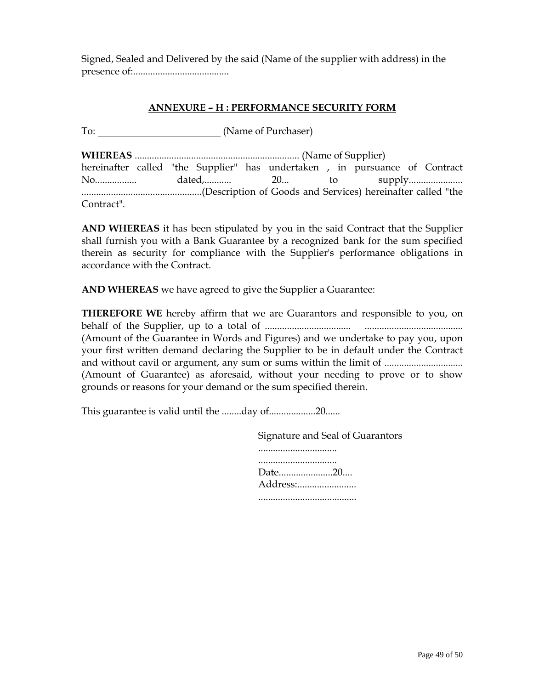Signed, Sealed and Delivered by the said (Name of the supplier with address) in the presence of:.......................................

# **ANNEXURE – H : PERFORMANCE SECURITY FORM**

To: <u>Camerandella (Name</u> of Purchaser)

**WHEREAS** ................................................................... (Name of Supplier) hereinafter called "the Supplier" has undertaken , in pursuance of Contract No................. dated,........... 20... to supply...................... .................................................(Description of Goods and Services) hereinafter called "the Contract".

**AND WHEREAS** it has been stipulated by you in the said Contract that the Supplier shall furnish you with a Bank Guarantee by a recognized bank for the sum specified therein as security for compliance with the Supplier's performance obligations in accordance with the Contract.

**AND WHEREAS** we have agreed to give the Supplier a Guarantee:

**THEREFORE WE** hereby affirm that we are Guarantors and responsible to you, on behalf of the Supplier, up to a total of ................................... ........................................ (Amount of the Guarantee in Words and Figures) and we undertake to pay you, upon your first written demand declaring the Supplier to be in default under the Contract and without cavil or argument, any sum or sums within the limit of ................................. (Amount of Guarantee) as aforesaid, without your needing to prove or to show grounds or reasons for your demand or the sum specified therein.

This guarantee is valid until the ........day of....................20......

 Signature and Seal of Guarantors ................................ ................................ Date......................20.... Address:........................ ........................................